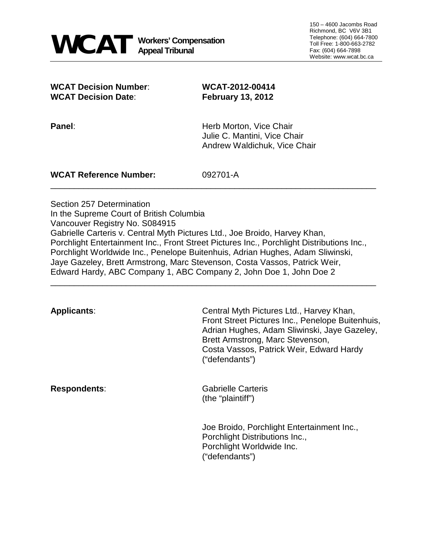**WCAT Decision Number**: **WCAT-2012-00414 WCAT Decision Date**: **February 13, 2012**

**Panel: Panel: Panel**: **Herb Morton, Vice Chair** Julie C. Mantini, Vice Chair Andrew Waldichuk, Vice Chair

**WCAT Reference Number:** 092701-A

Section 257 Determination In the Supreme Court of British Columbia Vancouver Registry No. S084915 Gabrielle Carteris v. Central Myth Pictures Ltd., Joe Broido, Harvey Khan, Porchlight Entertainment Inc., Front Street Pictures Inc., Porchlight Distributions Inc., Porchlight Worldwide Inc., Penelope Buitenhuis, Adrian Hughes, Adam Sliwinski, Jaye Gazeley, Brett Armstrong, Marc Stevenson, Costa Vassos, Patrick Weir, Edward Hardy, ABC Company 1, ABC Company 2, John Doe 1, John Doe 2

\_\_\_\_\_\_\_\_\_\_\_\_\_\_\_\_\_\_\_\_\_\_\_\_\_\_\_\_\_\_\_\_\_\_\_\_\_\_\_\_\_\_\_\_\_\_\_\_\_\_\_\_\_\_\_\_\_\_\_\_\_\_\_\_\_\_\_\_\_

\_\_\_\_\_\_\_\_\_\_\_\_\_\_\_\_\_\_\_\_\_\_\_\_\_\_\_\_\_\_\_\_\_\_\_\_\_\_\_\_\_\_\_\_\_\_\_\_\_\_\_\_\_\_\_\_\_\_\_\_\_\_\_\_\_\_\_\_\_

**Applicants**: Central Myth Pictures Ltd., Harvey Khan, Front Street Pictures Inc., Penelope Buitenhuis, Adrian Hughes, Adam Sliwinski, Jaye Gazeley, Brett Armstrong, Marc Stevenson, Costa Vassos, Patrick Weir, Edward Hardy ("defendants") **Respondents:** Gabrielle Carteris (the "plaintiff") Joe Broido, Porchlight Entertainment Inc., Porchlight Distributions Inc.,

Porchlight Worldwide Inc.

("defendants")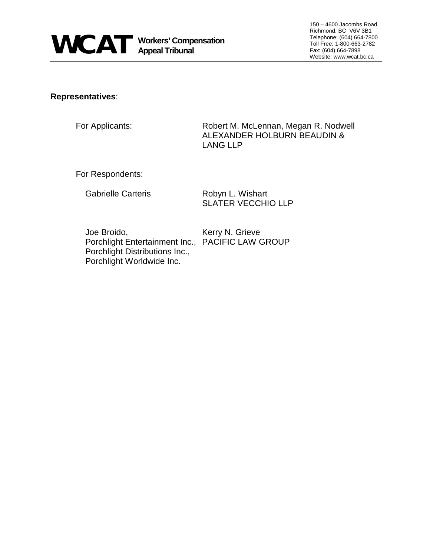

#### **Representatives**:

For Applicants: Robert M. McLennan, Megan R. Nodwell ALEXANDER HOLBURN BEAUDIN & LANG LLP

For Respondents:

Gabrielle Carteris **Robyn L. Wishart** 

SLATER VECCHIO LLP

Joe Broido, Kerry N. Grieve Porchlight Entertainment Inc., PACIFIC LAW GROUP Porchlight Distributions Inc., Porchlight Worldwide Inc.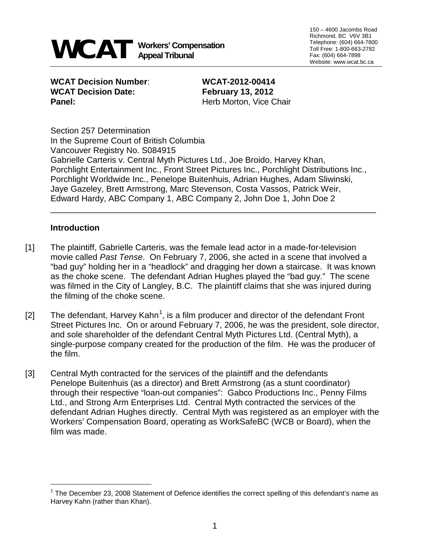

150 – 4600 Jacombs Road Richmond, BC V6V 3B1 Telephone: (604) 664-7800 Toll Free: 1-800-663-2782 Fax: (604) 664-7898 Website: www.wcat.bc.ca

**WCAT Decision Number**: **WCAT-2012-00414 WCAT Decision Date: February 13, 2012 Panel:** Herb Morton, Vice Chair

Section 257 Determination In the Supreme Court of British Columbia Vancouver Registry No. S084915 Gabrielle Carteris v. Central Myth Pictures Ltd., Joe Broido, Harvey Khan, Porchlight Entertainment Inc., Front Street Pictures Inc., Porchlight Distributions Inc., Porchlight Worldwide Inc., Penelope Buitenhuis, Adrian Hughes, Adam Sliwinski, Jaye Gazeley, Brett Armstrong, Marc Stevenson, Costa Vassos, Patrick Weir, Edward Hardy, ABC Company 1, ABC Company 2, John Doe 1, John Doe 2

\_\_\_\_\_\_\_\_\_\_\_\_\_\_\_\_\_\_\_\_\_\_\_\_\_\_\_\_\_\_\_\_\_\_\_\_\_\_\_\_\_\_\_\_\_\_\_\_\_\_\_\_\_\_\_\_\_\_\_\_\_\_\_\_\_\_\_\_\_

### **Introduction**

÷,

- [1] The plaintiff, Gabrielle Carteris, was the female lead actor in a made-for-television movie called *Past Tense*. On February 7, 2006, she acted in a scene that involved a "bad guy" holding her in a "headlock" and dragging her down a staircase. It was known as the choke scene. The defendant Adrian Hughes played the "bad guy." The scene was filmed in the City of Langley, B.C. The plaintiff claims that she was injured during the filming of the choke scene.
- [2] The defendant, Harvey Kahn<sup>[1](#page-2-0)</sup>, is a film producer and director of the defendant Front Street Pictures Inc. On or around February 7, 2006, he was the president, sole director, and sole shareholder of the defendant Central Myth Pictures Ltd. (Central Myth), a single-purpose company created for the production of the film. He was the producer of the film.
- [3] Central Myth contracted for the services of the plaintiff and the defendants Penelope Buitenhuis (as a director) and Brett Armstrong (as a stunt coordinator) through their respective "loan-out companies": Gabco Productions Inc., Penny Films Ltd., and Strong Arm Enterprises Ltd. Central Myth contracted the services of the defendant Adrian Hughes directly. Central Myth was registered as an employer with the Workers' Compensation Board, operating as WorkSafeBC (WCB or Board), when the film was made.

<span id="page-2-0"></span> $1$  The December 23, 2008 Statement of Defence identifies the correct spelling of this defendant's name as Harvey Kahn (rather than Khan).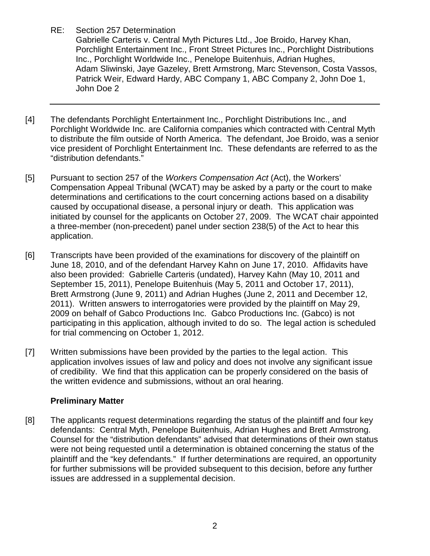Gabrielle Carteris v. Central Myth Pictures Ltd., Joe Broido, Harvey Khan, Porchlight Entertainment Inc., Front Street Pictures Inc., Porchlight Distributions Inc., Porchlight Worldwide Inc., Penelope Buitenhuis, Adrian Hughes, Adam Sliwinski, Jaye Gazeley, Brett Armstrong, Marc Stevenson, Costa Vassos, Patrick Weir, Edward Hardy, ABC Company 1, ABC Company 2, John Doe 1, John Doe 2

- [4] The defendants Porchlight Entertainment Inc., Porchlight Distributions Inc., and Porchlight Worldwide Inc. are California companies which contracted with Central Myth to distribute the film outside of North America. The defendant, Joe Broido, was a senior vice president of Porchlight Entertainment Inc. These defendants are referred to as the "distribution defendants."
- [5] Pursuant to section 257 of the *Workers Compensation Act* (Act), the Workers' Compensation Appeal Tribunal (WCAT) may be asked by a party or the court to make determinations and certifications to the court concerning actions based on a disability caused by occupational disease, a personal injury or death. This application was initiated by counsel for the applicants on October 27, 2009. The WCAT chair appointed a three-member (non-precedent) panel under section 238(5) of the Act to hear this application.
- [6] Transcripts have been provided of the examinations for discovery of the plaintiff on June 18, 2010, and of the defendant Harvey Kahn on June 17, 2010. Affidavits have also been provided: Gabrielle Carteris (undated), Harvey Kahn (May 10, 2011 and September 15, 2011), Penelope Buitenhuis (May 5, 2011 and October 17, 2011), Brett Armstrong (June 9, 2011) and Adrian Hughes (June 2, 2011 and December 12, 2011). Written answers to interrogatories were provided by the plaintiff on May 29, 2009 on behalf of Gabco Productions Inc. Gabco Productions Inc. (Gabco) is not participating in this application, although invited to do so. The legal action is scheduled for trial commencing on October 1, 2012.
- [7] Written submissions have been provided by the parties to the legal action. This application involves issues of law and policy and does not involve any significant issue of credibility. We find that this application can be properly considered on the basis of the written evidence and submissions, without an oral hearing.

# **Preliminary Matter**

[8] The applicants request determinations regarding the status of the plaintiff and four key defendants: Central Myth, Penelope Buitenhuis, Adrian Hughes and Brett Armstrong. Counsel for the "distribution defendants" advised that determinations of their own status were not being requested until a determination is obtained concerning the status of the plaintiff and the "key defendants." If further determinations are required, an opportunity for further submissions will be provided subsequent to this decision, before any further issues are addressed in a supplemental decision.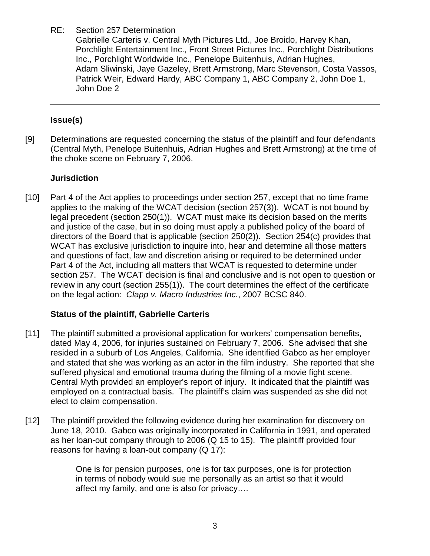Gabrielle Carteris v. Central Myth Pictures Ltd., Joe Broido, Harvey Khan, Porchlight Entertainment Inc., Front Street Pictures Inc., Porchlight Distributions Inc., Porchlight Worldwide Inc., Penelope Buitenhuis, Adrian Hughes, Adam Sliwinski, Jaye Gazeley, Brett Armstrong, Marc Stevenson, Costa Vassos, Patrick Weir, Edward Hardy, ABC Company 1, ABC Company 2, John Doe 1, John Doe 2

# **Issue(s)**

[9] Determinations are requested concerning the status of the plaintiff and four defendants (Central Myth, Penelope Buitenhuis, Adrian Hughes and Brett Armstrong) at the time of the choke scene on February 7, 2006.

# **Jurisdiction**

[10] Part 4 of the Act applies to proceedings under section 257, except that no time frame applies to the making of the WCAT decision (section 257(3)). WCAT is not bound by legal precedent (section 250(1)). WCAT must make its decision based on the merits and justice of the case, but in so doing must apply a published policy of the board of directors of the Board that is applicable (section 250(2)). Section 254(c) provides that WCAT has exclusive jurisdiction to inquire into, hear and determine all those matters and questions of fact, law and discretion arising or required to be determined under Part 4 of the Act, including all matters that WCAT is requested to determine under section 257. The WCAT decision is final and conclusive and is not open to question or review in any court (section 255(1)). The court determines the effect of the certificate on the legal action: *Clapp v. Macro Industries Inc.*, 2007 BCSC 840.

# **Status of the plaintiff, Gabrielle Carteris**

- [11] The plaintiff submitted a provisional application for workers' compensation benefits, dated May 4, 2006, for injuries sustained on February 7, 2006. She advised that she resided in a suburb of Los Angeles, California. She identified Gabco as her employer and stated that she was working as an actor in the film industry. She reported that she suffered physical and emotional trauma during the filming of a movie fight scene. Central Myth provided an employer's report of injury. It indicated that the plaintiff was employed on a contractual basis. The plaintiff's claim was suspended as she did not elect to claim compensation.
- [12] The plaintiff provided the following evidence during her examination for discovery on June 18, 2010. Gabco was originally incorporated in California in 1991, and operated as her loan-out company through to 2006 (Q 15 to 15). The plaintiff provided four reasons for having a loan-out company (Q 17):

One is for pension purposes, one is for tax purposes, one is for protection in terms of nobody would sue me personally as an artist so that it would affect my family, and one is also for privacy….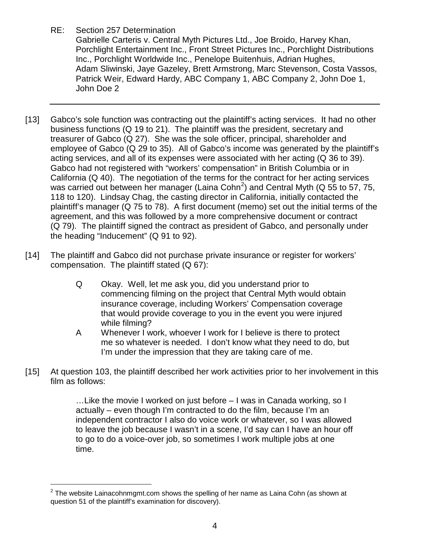Gabrielle Carteris v. Central Myth Pictures Ltd., Joe Broido, Harvey Khan, Porchlight Entertainment Inc., Front Street Pictures Inc., Porchlight Distributions Inc., Porchlight Worldwide Inc., Penelope Buitenhuis, Adrian Hughes, Adam Sliwinski, Jaye Gazeley, Brett Armstrong, Marc Stevenson, Costa Vassos, Patrick Weir, Edward Hardy, ABC Company 1, ABC Company 2, John Doe 1, John Doe 2

- [13] Gabco's sole function was contracting out the plaintiff's acting services. It had no other business functions (Q 19 to 21). The plaintiff was the president, secretary and treasurer of Gabco (Q 27). She was the sole officer, principal, shareholder and employee of Gabco (Q 29 to 35). All of Gabco's income was generated by the plaintiff's acting services, and all of its expenses were associated with her acting (Q 36 to 39). Gabco had not registered with "workers' compensation" in British Columbia or in California (Q 40). The negotiation of the terms for the contract for her acting services was carried out between her manager (Laina Cohn<sup>[2](#page-5-0)</sup>) and Central Myth (Q 55 to 57, 75, 118 to 120). Lindsay Chag, the casting director in California, initially contacted the plaintiff's manager (Q 75 to 78). A first document (memo) set out the initial terms of the agreement, and this was followed by a more comprehensive document or contract (Q 79). The plaintiff signed the contract as president of Gabco, and personally under the heading "Inducement" (Q 91 to 92).
- [14] The plaintiff and Gabco did not purchase private insurance or register for workers' compensation. The plaintiff stated (Q 67):
	- Q Okay. Well, let me ask you, did you understand prior to commencing filming on the project that Central Myth would obtain insurance coverage, including Workers' Compensation coverage that would provide coverage to you in the event you were injured while filming?
	- A Whenever I work, whoever I work for I believe is there to protect me so whatever is needed. I don't know what they need to do, but I'm under the impression that they are taking care of me.
- [15] At question 103, the plaintiff described her work activities prior to her involvement in this film as follows:

…Like the movie I worked on just before – I was in Canada working, so I actually – even though I'm contracted to do the film, because I'm an independent contractor I also do voice work or whatever, so I was allowed to leave the job because I wasn't in a scene, I'd say can I have an hour off to go to do a voice-over job, so sometimes I work multiple jobs at one time.

<span id="page-5-0"></span><sup>÷,</sup>  $^{2}$  The website Lainacohnmgmt.com shows the spelling of her name as Laina Cohn (as shown at question 51 of the plaintiff's examination for discovery).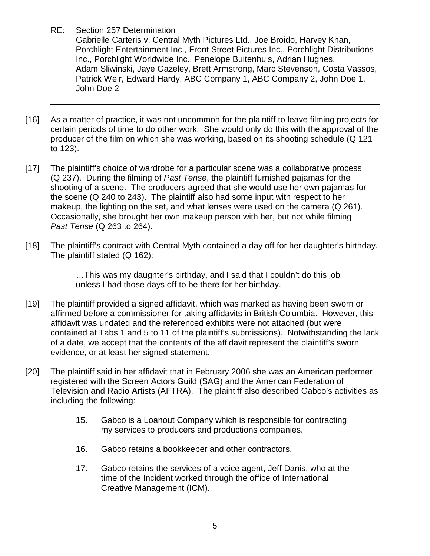Gabrielle Carteris v. Central Myth Pictures Ltd., Joe Broido, Harvey Khan, Porchlight Entertainment Inc., Front Street Pictures Inc., Porchlight Distributions Inc., Porchlight Worldwide Inc., Penelope Buitenhuis, Adrian Hughes, Adam Sliwinski, Jaye Gazeley, Brett Armstrong, Marc Stevenson, Costa Vassos, Patrick Weir, Edward Hardy, ABC Company 1, ABC Company 2, John Doe 1, John Doe 2

- [16] As a matter of practice, it was not uncommon for the plaintiff to leave filming projects for certain periods of time to do other work. She would only do this with the approval of the producer of the film on which she was working, based on its shooting schedule (Q 121 to 123).
- [17] The plaintiff's choice of wardrobe for a particular scene was a collaborative process (Q 237). During the filming of *Past Tense*, the plaintiff furnished pajamas for the shooting of a scene. The producers agreed that she would use her own pajamas for the scene (Q 240 to 243). The plaintiff also had some input with respect to her makeup, the lighting on the set, and what lenses were used on the camera (Q 261). Occasionally, she brought her own makeup person with her, but not while filming *Past Tense* (Q 263 to 264).
- [18] The plaintiff's contract with Central Myth contained a day off for her daughter's birthday. The plaintiff stated (Q 162):

…This was my daughter's birthday, and I said that I couldn't do this job unless I had those days off to be there for her birthday.

- [19] The plaintiff provided a signed affidavit, which was marked as having been sworn or affirmed before a commissioner for taking affidavits in British Columbia. However, this affidavit was undated and the referenced exhibits were not attached (but were contained at Tabs 1 and 5 to 11 of the plaintiff's submissions). Notwithstanding the lack of a date, we accept that the contents of the affidavit represent the plaintiff's sworn evidence, or at least her signed statement.
- [20] The plaintiff said in her affidavit that in February 2006 she was an American performer registered with the Screen Actors Guild (SAG) and the American Federation of Television and Radio Artists (AFTRA). The plaintiff also described Gabco's activities as including the following:
	- 15. Gabco is a Loanout Company which is responsible for contracting my services to producers and productions companies.
	- 16. Gabco retains a bookkeeper and other contractors.
	- 17. Gabco retains the services of a voice agent, Jeff Danis, who at the time of the Incident worked through the office of International Creative Management (ICM).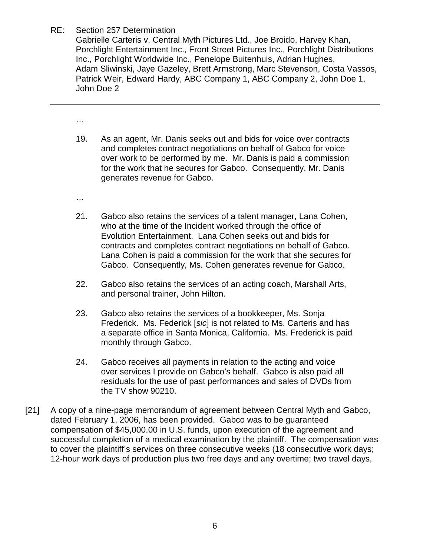Gabrielle Carteris v. Central Myth Pictures Ltd., Joe Broido, Harvey Khan, Porchlight Entertainment Inc., Front Street Pictures Inc., Porchlight Distributions Inc., Porchlight Worldwide Inc., Penelope Buitenhuis, Adrian Hughes, Adam Sliwinski, Jaye Gazeley, Brett Armstrong, Marc Stevenson, Costa Vassos, Patrick Weir, Edward Hardy, ABC Company 1, ABC Company 2, John Doe 1, John Doe 2

…

- 19. As an agent, Mr. Danis seeks out and bids for voice over contracts and completes contract negotiations on behalf of Gabco for voice over work to be performed by me. Mr. Danis is paid a commission for the work that he secures for Gabco. Consequently, Mr. Danis generates revenue for Gabco.
- …
- 21. Gabco also retains the services of a talent manager, Lana Cohen, who at the time of the Incident worked through the office of Evolution Entertainment. Lana Cohen seeks out and bids for contracts and completes contract negotiations on behalf of Gabco. Lana Cohen is paid a commission for the work that she secures for Gabco. Consequently, Ms. Cohen generates revenue for Gabco.
- 22. Gabco also retains the services of an acting coach, Marshall Arts, and personal trainer, John Hilton.
- 23. Gabco also retains the services of a bookkeeper, Ms. Sonja Frederick. Ms. Federick [*sic*] is not related to Ms. Carteris and has a separate office in Santa Monica, California. Ms. Frederick is paid monthly through Gabco.
- 24. Gabco receives all payments in relation to the acting and voice over services I provide on Gabco's behalf. Gabco is also paid all residuals for the use of past performances and sales of DVDs from the TV show 90210.
- [21] A copy of a nine-page memorandum of agreement between Central Myth and Gabco, dated February 1, 2006, has been provided. Gabco was to be guaranteed compensation of \$45,000.00 in U.S. funds, upon execution of the agreement and successful completion of a medical examination by the plaintiff. The compensation was to cover the plaintiff's services on three consecutive weeks (18 consecutive work days; 12-hour work days of production plus two free days and any overtime; two travel days,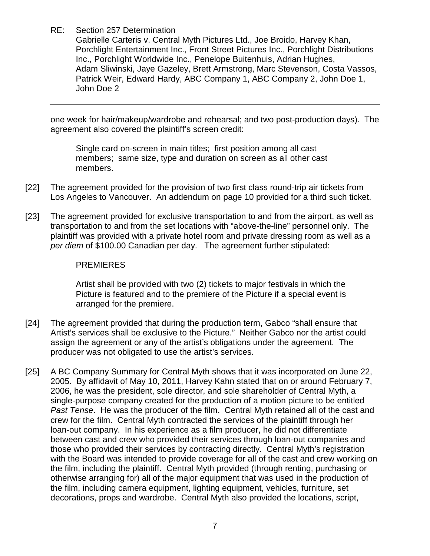Gabrielle Carteris v. Central Myth Pictures Ltd., Joe Broido, Harvey Khan, Porchlight Entertainment Inc., Front Street Pictures Inc., Porchlight Distributions Inc., Porchlight Worldwide Inc., Penelope Buitenhuis, Adrian Hughes, Adam Sliwinski, Jaye Gazeley, Brett Armstrong, Marc Stevenson, Costa Vassos, Patrick Weir, Edward Hardy, ABC Company 1, ABC Company 2, John Doe 1, John Doe 2

one week for hair/makeup/wardrobe and rehearsal; and two post-production days). The agreement also covered the plaintiff's screen credit:

Single card on-screen in main titles; first position among all cast members; same size, type and duration on screen as all other cast members.

- [22] The agreement provided for the provision of two first class round-trip air tickets from Los Angeles to Vancouver. An addendum on page 10 provided for a third such ticket.
- [23] The agreement provided for exclusive transportation to and from the airport, as well as transportation to and from the set locations with "above-the-line" personnel only. The plaintiff was provided with a private hotel room and private dressing room as well as a *per diem* of \$100.00 Canadian per day. The agreement further stipulated:

### PREMIERES

Artist shall be provided with two (2) tickets to major festivals in which the Picture is featured and to the premiere of the Picture if a special event is arranged for the premiere.

- [24] The agreement provided that during the production term, Gabco "shall ensure that Artist's services shall be exclusive to the Picture." Neither Gabco nor the artist could assign the agreement or any of the artist's obligations under the agreement. The producer was not obligated to use the artist's services.
- [25] A BC Company Summary for Central Myth shows that it was incorporated on June 22, 2005. By affidavit of May 10, 2011, Harvey Kahn stated that on or around February 7, 2006, he was the president, sole director, and sole shareholder of Central Myth, a single-purpose company created for the production of a motion picture to be entitled *Past Tense*. He was the producer of the film. Central Myth retained all of the cast and crew for the film. Central Myth contracted the services of the plaintiff through her loan-out company. In his experience as a film producer, he did not differentiate between cast and crew who provided their services through loan-out companies and those who provided their services by contracting directly. Central Myth's registration with the Board was intended to provide coverage for all of the cast and crew working on the film, including the plaintiff. Central Myth provided (through renting, purchasing or otherwise arranging for) all of the major equipment that was used in the production of the film, including camera equipment, lighting equipment, vehicles, furniture, set decorations, props and wardrobe. Central Myth also provided the locations, script,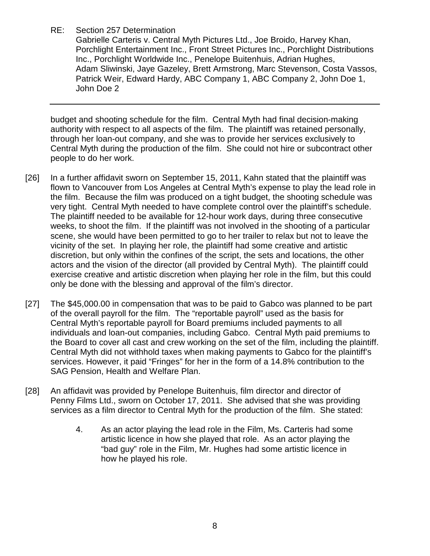Gabrielle Carteris v. Central Myth Pictures Ltd., Joe Broido, Harvey Khan, Porchlight Entertainment Inc., Front Street Pictures Inc., Porchlight Distributions Inc., Porchlight Worldwide Inc., Penelope Buitenhuis, Adrian Hughes, Adam Sliwinski, Jaye Gazeley, Brett Armstrong, Marc Stevenson, Costa Vassos, Patrick Weir, Edward Hardy, ABC Company 1, ABC Company 2, John Doe 1, John Doe 2

budget and shooting schedule for the film. Central Myth had final decision-making authority with respect to all aspects of the film. The plaintiff was retained personally, through her loan-out company, and she was to provide her services exclusively to Central Myth during the production of the film. She could not hire or subcontract other people to do her work.

- [26] In a further affidavit sworn on September 15, 2011, Kahn stated that the plaintiff was flown to Vancouver from Los Angeles at Central Myth's expense to play the lead role in the film. Because the film was produced on a tight budget, the shooting schedule was very tight. Central Myth needed to have complete control over the plaintiff's schedule. The plaintiff needed to be available for 12-hour work days, during three consecutive weeks, to shoot the film. If the plaintiff was not involved in the shooting of a particular scene, she would have been permitted to go to her trailer to relax but not to leave the vicinity of the set. In playing her role, the plaintiff had some creative and artistic discretion, but only within the confines of the script, the sets and locations, the other actors and the vision of the director (all provided by Central Myth). The plaintiff could exercise creative and artistic discretion when playing her role in the film, but this could only be done with the blessing and approval of the film's director.
- [27] The \$45,000.00 in compensation that was to be paid to Gabco was planned to be part of the overall payroll for the film. The "reportable payroll" used as the basis for Central Myth's reportable payroll for Board premiums included payments to all individuals and loan-out companies, including Gabco. Central Myth paid premiums to the Board to cover all cast and crew working on the set of the film, including the plaintiff. Central Myth did not withhold taxes when making payments to Gabco for the plaintiff's services. However, it paid "Fringes" for her in the form of a 14.8% contribution to the SAG Pension, Health and Welfare Plan.
- [28] An affidavit was provided by Penelope Buitenhuis, film director and director of Penny Films Ltd., sworn on October 17, 2011. She advised that she was providing services as a film director to Central Myth for the production of the film. She stated:
	- 4. As an actor playing the lead role in the Film, Ms. Carteris had some artistic licence in how she played that role. As an actor playing the "bad guy" role in the Film, Mr. Hughes had some artistic licence in how he played his role.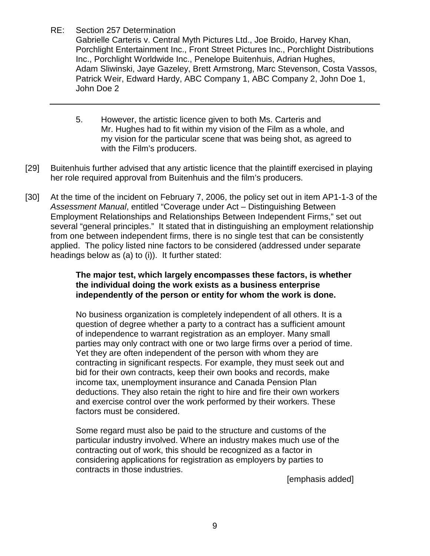Gabrielle Carteris v. Central Myth Pictures Ltd., Joe Broido, Harvey Khan, Porchlight Entertainment Inc., Front Street Pictures Inc., Porchlight Distributions Inc., Porchlight Worldwide Inc., Penelope Buitenhuis, Adrian Hughes, Adam Sliwinski, Jaye Gazeley, Brett Armstrong, Marc Stevenson, Costa Vassos, Patrick Weir, Edward Hardy, ABC Company 1, ABC Company 2, John Doe 1, John Doe 2

- 5. However, the artistic licence given to both Ms. Carteris and Mr. Hughes had to fit within my vision of the Film as a whole, and my vision for the particular scene that was being shot, as agreed to with the Film's producers.
- [29] Buitenhuis further advised that any artistic licence that the plaintiff exercised in playing her role required approval from Buitenhuis and the film's producers.
- [30] At the time of the incident on February 7, 2006, the policy set out in item AP1-1-3 of the *Assessment Manual*, entitled "Coverage under Act – Distinguishing Between Employment Relationships and Relationships Between Independent Firms," set out several "general principles." It stated that in distinguishing an employment relationship from one between independent firms, there is no single test that can be consistently applied. The policy listed nine factors to be considered (addressed under separate headings below as (a) to (i)). It further stated:

### **The major test, which largely encompasses these factors, is whether the individual doing the work exists as a business enterprise independently of the person or entity for whom the work is done.**

No business organization is completely independent of all others. It is a question of degree whether a party to a contract has a sufficient amount of independence to warrant registration as an employer. Many small parties may only contract with one or two large firms over a period of time. Yet they are often independent of the person with whom they are contracting in significant respects. For example, they must seek out and bid for their own contracts, keep their own books and records, make income tax, unemployment insurance and Canada Pension Plan deductions. They also retain the right to hire and fire their own workers and exercise control over the work performed by their workers. These factors must be considered.

Some regard must also be paid to the structure and customs of the particular industry involved. Where an industry makes much use of the contracting out of work, this should be recognized as a factor in considering applications for registration as employers by parties to contracts in those industries.

[emphasis added]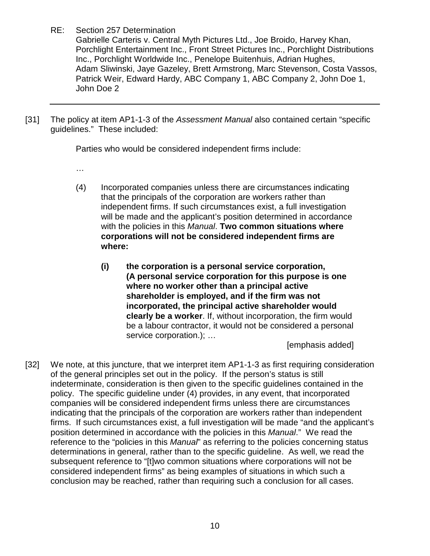Gabrielle Carteris v. Central Myth Pictures Ltd., Joe Broido, Harvey Khan, Porchlight Entertainment Inc., Front Street Pictures Inc., Porchlight Distributions Inc., Porchlight Worldwide Inc., Penelope Buitenhuis, Adrian Hughes, Adam Sliwinski, Jaye Gazeley, Brett Armstrong, Marc Stevenson, Costa Vassos, Patrick Weir, Edward Hardy, ABC Company 1, ABC Company 2, John Doe 1, John Doe 2

[31] The policy at item AP1-1-3 of the *Assessment Manual* also contained certain "specific guidelines." These included:

Parties who would be considered independent firms include:

- …
- (4) Incorporated companies unless there are circumstances indicating that the principals of the corporation are workers rather than independent firms. If such circumstances exist, a full investigation will be made and the applicant's position determined in accordance with the policies in this *Manual*. **Two common situations where corporations will not be considered independent firms are where:** 
	- **(i) the corporation is a personal service corporation, (A personal service corporation for this purpose is one where no worker other than a principal active shareholder is employed, and if the firm was not incorporated, the principal active shareholder would clearly be a worker**. If, without incorporation, the firm would be a labour contractor, it would not be considered a personal service corporation.); …

[emphasis added]

[32] We note, at this juncture, that we interpret item AP1-1-3 as first requiring consideration of the general principles set out in the policy. If the person's status is still indeterminate, consideration is then given to the specific guidelines contained in the policy. The specific guideline under (4) provides, in any event, that incorporated companies will be considered independent firms unless there are circumstances indicating that the principals of the corporation are workers rather than independent firms. If such circumstances exist, a full investigation will be made "and the applicant's position determined in accordance with the policies in this *Manual*." We read the reference to the "policies in this *Manual*" as referring to the policies concerning status determinations in general, rather than to the specific guideline. As well, we read the subsequent reference to "[t]wo common situations where corporations will not be considered independent firms" as being examples of situations in which such a conclusion may be reached, rather than requiring such a conclusion for all cases.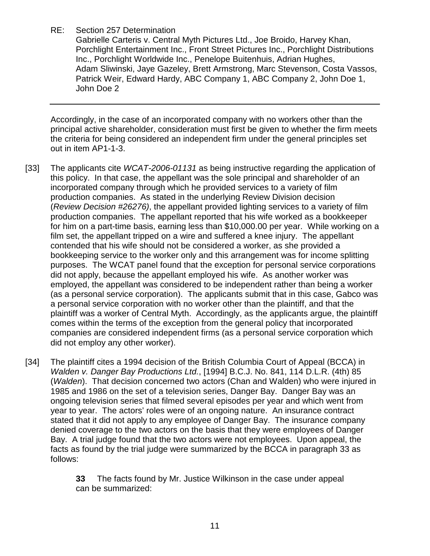Gabrielle Carteris v. Central Myth Pictures Ltd., Joe Broido, Harvey Khan, Porchlight Entertainment Inc., Front Street Pictures Inc., Porchlight Distributions Inc., Porchlight Worldwide Inc., Penelope Buitenhuis, Adrian Hughes, Adam Sliwinski, Jaye Gazeley, Brett Armstrong, Marc Stevenson, Costa Vassos, Patrick Weir, Edward Hardy, ABC Company 1, ABC Company 2, John Doe 1, John Doe 2

Accordingly, in the case of an incorporated company with no workers other than the principal active shareholder, consideration must first be given to whether the firm meets the criteria for being considered an independent firm under the general principles set out in item AP1-1-3.

- [33] The applicants cite *WCAT-2006-01131* as being instructive regarding the application of this policy. In that case, the appellant was the sole principal and shareholder of an incorporated company through which he provided services to a variety of film production companies. As stated in the underlying Review Division decision (*Review Decision #26276)*, the appellant provided lighting services to a variety of film production companies. The appellant reported that his wife worked as a bookkeeper for him on a part-time basis, earning less than \$10,000.00 per year. While working on a film set, the appellant tripped on a wire and suffered a knee injury. The appellant contended that his wife should not be considered a worker, as she provided a bookkeeping service to the worker only and this arrangement was for income splitting purposes. The WCAT panel found that the exception for personal service corporations did not apply, because the appellant employed his wife. As another worker was employed, the appellant was considered to be independent rather than being a worker (as a personal service corporation). The applicants submit that in this case, Gabco was a personal service corporation with no worker other than the plaintiff, and that the plaintiff was a worker of Central Myth. Accordingly, as the applicants argue, the plaintiff comes within the terms of the exception from the general policy that incorporated companies are considered independent firms (as a personal service corporation which did not employ any other worker).
- [34] The plaintiff cites a 1994 decision of the British Columbia Court of Appeal (BCCA) in *Walden v. Danger Bay Productions Ltd.*, [1994] B.C.J. No. 841, 114 D.L.R. (4th) 85 (*Walden*). That decision concerned two actors (Chan and Walden) who were injured in 1985 and 1986 on the set of a television series, Danger Bay. Danger Bay was an ongoing television series that filmed several episodes per year and which went from year to year. The actors' roles were of an ongoing nature. An insurance contract stated that it did not apply to any employee of Danger Bay. The insurance company denied coverage to the two actors on the basis that they were employees of Danger Bay. A trial judge found that the two actors were not employees. Upon appeal, the facts as found by the trial judge were summarized by the BCCA in paragraph 33 as follows:

**33** The facts found by Mr. Justice Wilkinson in the case under appeal can be summarized: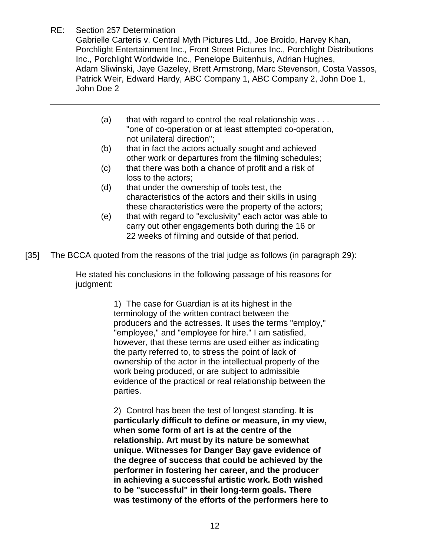Gabrielle Carteris v. Central Myth Pictures Ltd., Joe Broido, Harvey Khan, Porchlight Entertainment Inc., Front Street Pictures Inc., Porchlight Distributions Inc., Porchlight Worldwide Inc., Penelope Buitenhuis, Adrian Hughes, Adam Sliwinski, Jaye Gazeley, Brett Armstrong, Marc Stevenson, Costa Vassos, Patrick Weir, Edward Hardy, ABC Company 1, ABC Company 2, John Doe 1, John Doe 2

- (a) that with regard to control the real relationship was  $\dots$ "one of co-operation or at least attempted co-operation, not unilateral direction";
- (b) that in fact the actors actually sought and achieved other work or departures from the filming schedules;
- (c) that there was both a chance of profit and a risk of loss to the actors;
- (d) that under the ownership of tools test, the characteristics of the actors and their skills in using these characteristics were the property of the actors;
- (e) that with regard to "exclusivity" each actor was able to carry out other engagements both during the 16 or 22 weeks of filming and outside of that period.

[35] The BCCA quoted from the reasons of the trial judge as follows (in paragraph 29):

He stated his conclusions in the following passage of his reasons for judgment:

> 1) The case for Guardian is at its highest in the terminology of the written contract between the producers and the actresses. It uses the terms "employ," "employee," and "employee for hire." I am satisfied, however, that these terms are used either as indicating the party referred to, to stress the point of lack of ownership of the actor in the intellectual property of the work being produced, or are subject to admissible evidence of the practical or real relationship between the parties.

> 2) Control has been the test of longest standing. **It is particularly difficult to define or measure, in my view, when some form of art is at the centre of the relationship. Art must by its nature be somewhat unique. Witnesses for Danger Bay gave evidence of the degree of success that could be achieved by the performer in fostering her career, and the producer in achieving a successful artistic work. Both wished to be "successful" in their long-term goals. There was testimony of the efforts of the performers here to**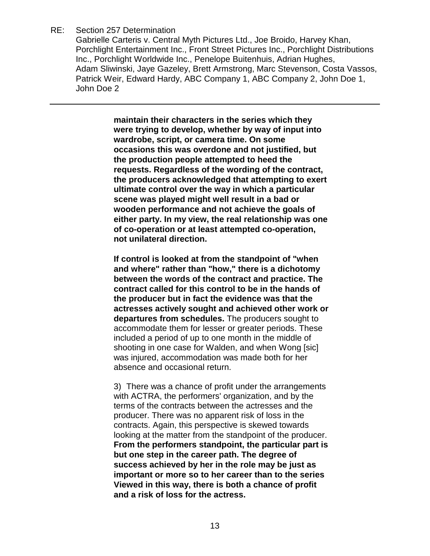Gabrielle Carteris v. Central Myth Pictures Ltd., Joe Broido, Harvey Khan, Porchlight Entertainment Inc., Front Street Pictures Inc., Porchlight Distributions Inc., Porchlight Worldwide Inc., Penelope Buitenhuis, Adrian Hughes, Adam Sliwinski, Jaye Gazeley, Brett Armstrong, Marc Stevenson, Costa Vassos, Patrick Weir, Edward Hardy, ABC Company 1, ABC Company 2, John Doe 1, John Doe 2

> **maintain their characters in the series which they were trying to develop, whether by way of input into wardrobe, script, or camera time. On some occasions this was overdone and not justified, but the production people attempted to heed the requests. Regardless of the wording of the contract, the producers acknowledged that attempting to exert ultimate control over the way in which a particular scene was played might well result in a bad or wooden performance and not achieve the goals of either party. In my view, the real relationship was one of co-operation or at least attempted co-operation, not unilateral direction.**

> **If control is looked at from the standpoint of "when and where" rather than "how," there is a dichotomy between the words of the contract and practice. The contract called for this control to be in the hands of the producer but in fact the evidence was that the actresses actively sought and achieved other work or departures from schedules.** The producers sought to accommodate them for lesser or greater periods. These included a period of up to one month in the middle of shooting in one case for Walden, and when Wong [sic] was injured, accommodation was made both for her absence and occasional return.

> 3) There was a chance of profit under the arrangements with ACTRA, the performers' organization, and by the terms of the contracts between the actresses and the producer. There was no apparent risk of loss in the contracts. Again, this perspective is skewed towards looking at the matter from the standpoint of the producer. **From the performers standpoint, the particular part is but one step in the career path. The degree of success achieved by her in the role may be just as important or more so to her career than to the series Viewed in this way, there is both a chance of profit and a risk of loss for the actress.**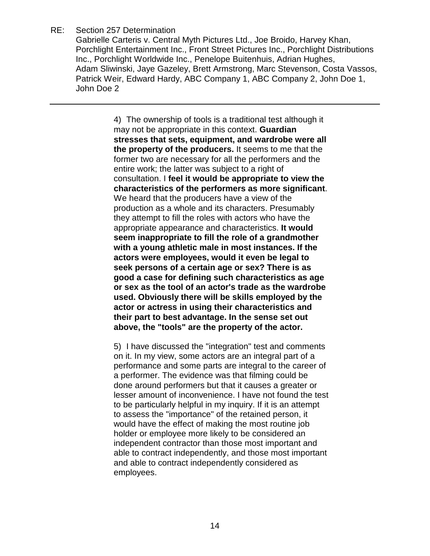Gabrielle Carteris v. Central Myth Pictures Ltd., Joe Broido, Harvey Khan, Porchlight Entertainment Inc., Front Street Pictures Inc., Porchlight Distributions Inc., Porchlight Worldwide Inc., Penelope Buitenhuis, Adrian Hughes, Adam Sliwinski, Jaye Gazeley, Brett Armstrong, Marc Stevenson, Costa Vassos, Patrick Weir, Edward Hardy, ABC Company 1, ABC Company 2, John Doe 1, John Doe 2

> 4) The ownership of tools is a traditional test although it may not be appropriate in this context. **Guardian stresses that sets, equipment, and wardrobe were all the property of the producers.** It seems to me that the former two are necessary for all the performers and the entire work; the latter was subject to a right of consultation. I **feel it would be appropriate to view the characteristics of the performers as more significant**. We heard that the producers have a view of the production as a whole and its characters. Presumably they attempt to fill the roles with actors who have the appropriate appearance and characteristics. **It would seem inappropriate to fill the role of a grandmother with a young athletic male in most instances. If the actors were employees, would it even be legal to seek persons of a certain age or sex? There is as good a case for defining such characteristics as age or sex as the tool of an actor's trade as the wardrobe used. Obviously there will be skills employed by the actor or actress in using their characteristics and their part to best advantage. In the sense set out above, the "tools" are the property of the actor.**

> 5) I have discussed the "integration" test and comments on it. In my view, some actors are an integral part of a performance and some parts are integral to the career of a performer. The evidence was that filming could be done around performers but that it causes a greater or lesser amount of inconvenience. I have not found the test to be particularly helpful in my inquiry. If it is an attempt to assess the "importance" of the retained person, it would have the effect of making the most routine job holder or employee more likely to be considered an independent contractor than those most important and able to contract independently, and those most important and able to contract independently considered as employees.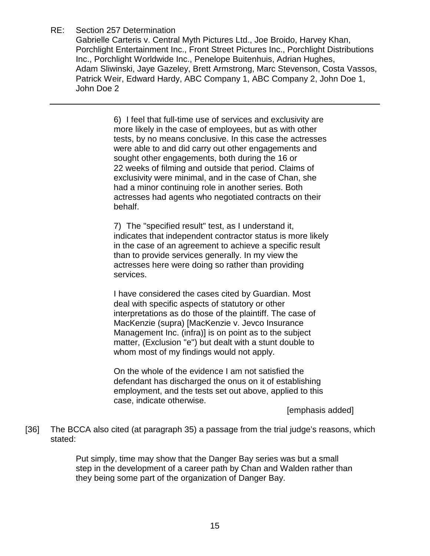Gabrielle Carteris v. Central Myth Pictures Ltd., Joe Broido, Harvey Khan, Porchlight Entertainment Inc., Front Street Pictures Inc., Porchlight Distributions Inc., Porchlight Worldwide Inc., Penelope Buitenhuis, Adrian Hughes, Adam Sliwinski, Jaye Gazeley, Brett Armstrong, Marc Stevenson, Costa Vassos, Patrick Weir, Edward Hardy, ABC Company 1, ABC Company 2, John Doe 1, John Doe 2

> 6) I feel that full-time use of services and exclusivity are more likely in the case of employees, but as with other tests, by no means conclusive. In this case the actresses were able to and did carry out other engagements and sought other engagements, both during the 16 or 22 weeks of filming and outside that period. Claims of exclusivity were minimal, and in the case of Chan, she had a minor continuing role in another series. Both actresses had agents who negotiated contracts on their behalf.

7) The "specified result" test, as I understand it, indicates that independent contractor status is more likely in the case of an agreement to achieve a specific result than to provide services generally. In my view the actresses here were doing so rather than providing services.

I have considered the cases cited by Guardian. Most deal with specific aspects of statutory or other interpretations as do those of the plaintiff. The case of MacKenzie (supra) [MacKenzie v. Jevco Insurance Management Inc. (infra)] is on point as to the subject matter, (Exclusion "e") but dealt with a stunt double to whom most of my findings would not apply.

On the whole of the evidence I am not satisfied the defendant has discharged the onus on it of establishing employment, and the tests set out above, applied to this case, indicate otherwise.

[emphasis added]

[36] The BCCA also cited (at paragraph 35) a passage from the trial judge's reasons, which stated:

> Put simply, time may show that the Danger Bay series was but a small step in the development of a career path by Chan and Walden rather than they being some part of the organization of Danger Bay.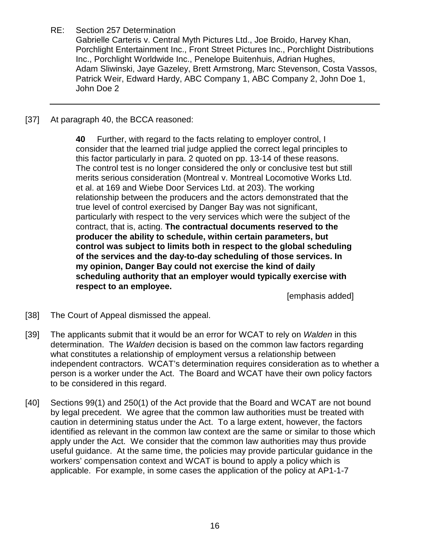Gabrielle Carteris v. Central Myth Pictures Ltd., Joe Broido, Harvey Khan, Porchlight Entertainment Inc., Front Street Pictures Inc., Porchlight Distributions Inc., Porchlight Worldwide Inc., Penelope Buitenhuis, Adrian Hughes, Adam Sliwinski, Jaye Gazeley, Brett Armstrong, Marc Stevenson, Costa Vassos, Patrick Weir, Edward Hardy, ABC Company 1, ABC Company 2, John Doe 1, John Doe 2

[37] At paragraph 40, the BCCA reasoned:

**40** Further, with regard to the facts relating to employer control, I consider that the learned trial judge applied the correct legal principles to this factor particularly in para. 2 quoted on pp. 13-14 of these reasons. The control test is no longer considered the only or conclusive test but still merits serious consideration (Montreal v. Montreal Locomotive Works Ltd. et al. at 169 and Wiebe Door Services Ltd. at 203). The working relationship between the producers and the actors demonstrated that the true level of control exercised by Danger Bay was not significant, particularly with respect to the very services which were the subject of the contract, that is, acting. **The contractual documents reserved to the producer the ability to schedule, within certain parameters, but control was subject to limits both in respect to the global scheduling of the services and the day-to-day scheduling of those services. In my opinion, Danger Bay could not exercise the kind of daily scheduling authority that an employer would typically exercise with respect to an employee.** 

[emphasis added]

- [38] The Court of Appeal dismissed the appeal.
- [39] The applicants submit that it would be an error for WCAT to rely on *Walden* in this determination. The *Walden* decision is based on the common law factors regarding what constitutes a relationship of employment versus a relationship between independent contractors. WCAT's determination requires consideration as to whether a person is a worker under the Act. The Board and WCAT have their own policy factors to be considered in this regard.
- [40] Sections 99(1) and 250(1) of the Act provide that the Board and WCAT are not bound by legal precedent. We agree that the common law authorities must be treated with caution in determining status under the Act. To a large extent, however, the factors identified as relevant in the common law context are the same or similar to those which apply under the Act. We consider that the common law authorities may thus provide useful guidance. At the same time, the policies may provide particular guidance in the workers' compensation context and WCAT is bound to apply a policy which is applicable. For example, in some cases the application of the policy at AP1-1-7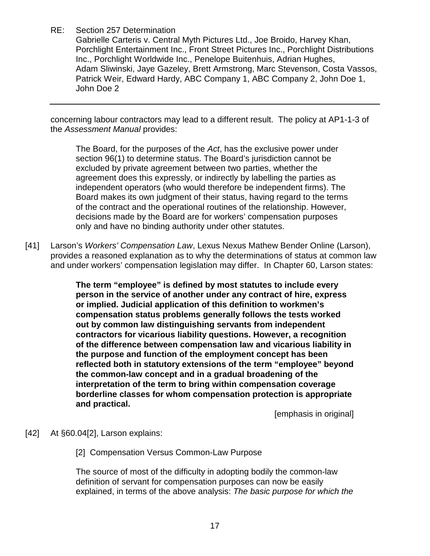Gabrielle Carteris v. Central Myth Pictures Ltd., Joe Broido, Harvey Khan, Porchlight Entertainment Inc., Front Street Pictures Inc., Porchlight Distributions Inc., Porchlight Worldwide Inc., Penelope Buitenhuis, Adrian Hughes, Adam Sliwinski, Jaye Gazeley, Brett Armstrong, Marc Stevenson, Costa Vassos, Patrick Weir, Edward Hardy, ABC Company 1, ABC Company 2, John Doe 1, John Doe 2

concerning labour contractors may lead to a different result. The policy at AP1-1-3 of the *Assessment Manual* provides:

The Board, for the purposes of the *Act*, has the exclusive power under section 96(1) to determine status. The Board's jurisdiction cannot be excluded by private agreement between two parties, whether the agreement does this expressly, or indirectly by labelling the parties as independent operators (who would therefore be independent firms). The Board makes its own judgment of their status, having regard to the terms of the contract and the operational routines of the relationship. However, decisions made by the Board are for workers' compensation purposes only and have no binding authority under other statutes.

[41] Larson's *Workers' Compensation Law*, Lexus Nexus Mathew Bender Online (Larson), provides a reasoned explanation as to why the determinations of status at common law and under workers' compensation legislation may differ. In Chapter 60, Larson states:

> **The term "employee" is defined by most statutes to include every person in the service of another under any contract of hire, express or implied. Judicial application of this definition to workmen's compensation status problems generally follows the tests worked out by common law distinguishing servants from independent contractors for vicarious liability questions. However, a recognition of the difference between compensation law and vicarious liability in the purpose and function of the employment concept has been reflected both in statutory extensions of the term "employee" beyond the common-law concept and in a gradual broadening of the interpretation of the term to bring within compensation coverage borderline classes for whom compensation protection is appropriate and practical.**

[emphasis in original]

[42] At §60.04[2], Larson explains:

[2] Compensation Versus Common-Law Purpose

The source of most of the difficulty in adopting bodily the common-law definition of servant for compensation purposes can now be easily explained, in terms of the above analysis: *The basic purpose for which the*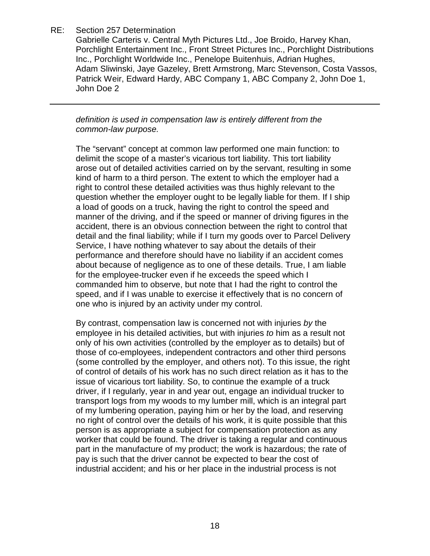Gabrielle Carteris v. Central Myth Pictures Ltd., Joe Broido, Harvey Khan, Porchlight Entertainment Inc., Front Street Pictures Inc., Porchlight Distributions Inc., Porchlight Worldwide Inc., Penelope Buitenhuis, Adrian Hughes, Adam Sliwinski, Jaye Gazeley, Brett Armstrong, Marc Stevenson, Costa Vassos, Patrick Weir, Edward Hardy, ABC Company 1, ABC Company 2, John Doe 1, John Doe 2

*definition is used in compensation law is entirely different from the common-law purpose.* 

The "servant" concept at common law performed one main function: to delimit the scope of a master's vicarious tort liability. This tort liability arose out of detailed activities carried on by the servant, resulting in some kind of harm to a third person. The extent to which the employer had a right to control these detailed activities was thus highly relevant to the question whether the employer ought to be legally liable for them. If I ship a load of goods on a truck, having the right to control the speed and manner of the driving, and if the speed or manner of driving figures in the accident, there is an obvious connection between the right to control that detail and the final liability; while if I turn my goods over to Parcel Delivery Service, I have nothing whatever to say about the details of their performance and therefore should have no liability if an accident comes about because of negligence as to one of these details. True, I am liable for the employee-trucker even if he exceeds the speed which I commanded him to observe, but note that I had the right to control the speed, and if I was unable to exercise it effectively that is no concern of one who is injured by an activity under my control.

By contrast, compensation law is concerned not with injuries *by* the employee in his detailed activities, but with injuries *to* him as a result not only of his own activities (controlled by the employer as to details) but of those of co-employees, independent contractors and other third persons (some controlled by the employer, and others not). To this issue, the right of control of details of his work has no such direct relation as it has to the issue of vicarious tort liability. So, to continue the example of a truck driver, if I regularly, year in and year out, engage an individual trucker to transport logs from my woods to my lumber mill, which is an integral part of my lumbering operation, paying him or her by the load, and reserving no right of control over the details of his work, it is quite possible that this person is as appropriate a subject for compensation protection as any worker that could be found. The driver is taking a regular and continuous part in the manufacture of my product; the work is hazardous; the rate of pay is such that the driver cannot be expected to bear the cost of industrial accident; and his or her place in the industrial process is not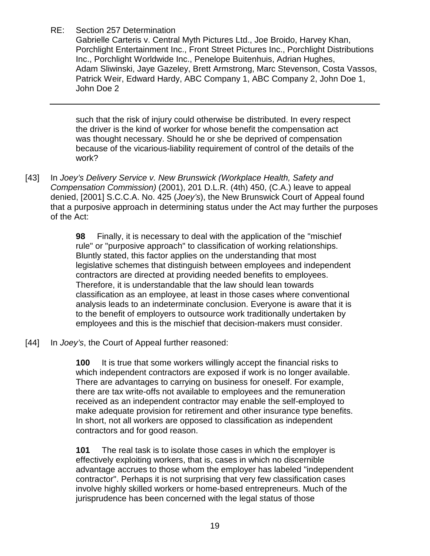Gabrielle Carteris v. Central Myth Pictures Ltd., Joe Broido, Harvey Khan, Porchlight Entertainment Inc., Front Street Pictures Inc., Porchlight Distributions Inc., Porchlight Worldwide Inc., Penelope Buitenhuis, Adrian Hughes, Adam Sliwinski, Jaye Gazeley, Brett Armstrong, Marc Stevenson, Costa Vassos, Patrick Weir, Edward Hardy, ABC Company 1, ABC Company 2, John Doe 1, John Doe 2

such that the risk of injury could otherwise be distributed. In every respect the driver is the kind of worker for whose benefit the compensation act was thought necessary. Should he or she be deprived of compensation because of the vicarious-liability requirement of control of the details of the work?

[43] In *Joey's Delivery Service v. New Brunswick (Workplace Health, Safety and Compensation Commission)* (2001), 201 D.L.R. (4th) 450, (C.A.) leave to appeal denied, [2001] S.C.C.A. No. 425 (*Joey's*), the New Brunswick Court of Appeal found that a purposive approach in determining status under the Act may further the purposes of the Act:

> **98** Finally, it is necessary to deal with the application of the "mischief rule" or "purposive approach" to classification of working relationships. Bluntly stated, this factor applies on the understanding that most legislative schemes that distinguish between employees and independent contractors are directed at providing needed benefits to employees. Therefore, it is understandable that the law should lean towards classification as an employee, at least in those cases where conventional analysis leads to an indeterminate conclusion. Everyone is aware that it is to the benefit of employers to outsource work traditionally undertaken by employees and this is the mischief that decision-makers must consider.

[44] In *Joey's*, the Court of Appeal further reasoned:

**100** It is true that some workers willingly accept the financial risks to which independent contractors are exposed if work is no longer available. There are advantages to carrying on business for oneself. For example, there are tax write-offs not available to employees and the remuneration received as an independent contractor may enable the self-employed to make adequate provision for retirement and other insurance type benefits. In short, not all workers are opposed to classification as independent contractors and for good reason.

**101** The real task is to isolate those cases in which the employer is effectively exploiting workers, that is, cases in which no discernible advantage accrues to those whom the employer has labeled "independent contractor". Perhaps it is not surprising that very few classification cases involve highly skilled workers or home-based entrepreneurs. Much of the jurisprudence has been concerned with the legal status of those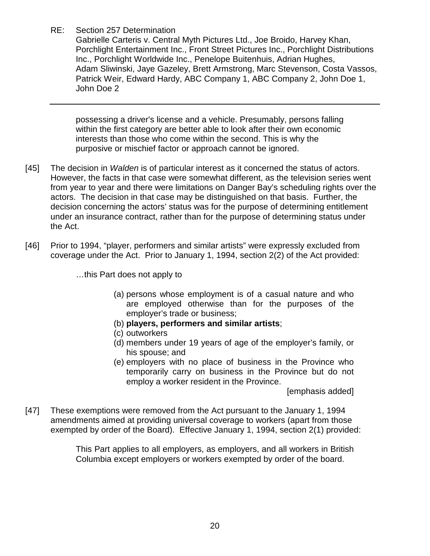Gabrielle Carteris v. Central Myth Pictures Ltd., Joe Broido, Harvey Khan, Porchlight Entertainment Inc., Front Street Pictures Inc., Porchlight Distributions Inc., Porchlight Worldwide Inc., Penelope Buitenhuis, Adrian Hughes, Adam Sliwinski, Jaye Gazeley, Brett Armstrong, Marc Stevenson, Costa Vassos, Patrick Weir, Edward Hardy, ABC Company 1, ABC Company 2, John Doe 1, John Doe 2

possessing a driver's license and a vehicle. Presumably, persons falling within the first category are better able to look after their own economic interests than those who come within the second. This is why the purposive or mischief factor or approach cannot be ignored.

- [45] The decision in *Walden* is of particular interest as it concerned the status of actors. However, the facts in that case were somewhat different, as the television series went from year to year and there were limitations on Danger Bay's scheduling rights over the actors. The decision in that case may be distinguished on that basis. Further, the decision concerning the actors' status was for the purpose of determining entitlement under an insurance contract, rather than for the purpose of determining status under the Act.
- [46] Prior to 1994, "player, performers and similar artists" were expressly excluded from coverage under the Act. Prior to January 1, 1994, section 2(2) of the Act provided:

…this Part does not apply to

- (a) persons whose employment is of a casual nature and who are employed otherwise than for the purposes of the employer's trade or business;
- (b) **players, performers and similar artists**;
- (c) outworkers
- (d) members under 19 years of age of the employer's family, or his spouse; and
- (e) employers with no place of business in the Province who temporarily carry on business in the Province but do not employ a worker resident in the Province.

[emphasis added]

[47] These exemptions were removed from the Act pursuant to the January 1, 1994 amendments aimed at providing universal coverage to workers (apart from those exempted by order of the Board). Effective January 1, 1994, section 2(1) provided:

> This Part applies to all employers, as employers, and all workers in British Columbia except employers or workers exempted by order of the board.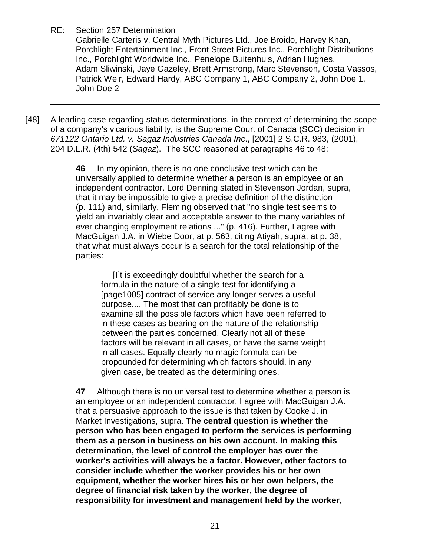Gabrielle Carteris v. Central Myth Pictures Ltd., Joe Broido, Harvey Khan, Porchlight Entertainment Inc., Front Street Pictures Inc., Porchlight Distributions Inc., Porchlight Worldwide Inc., Penelope Buitenhuis, Adrian Hughes, Adam Sliwinski, Jaye Gazeley, Brett Armstrong, Marc Stevenson, Costa Vassos, Patrick Weir, Edward Hardy, ABC Company 1, ABC Company 2, John Doe 1, John Doe 2

[48] A leading case regarding status determinations, in the context of determining the scope of a company's vicarious liability, is the Supreme Court of Canada (SCC) decision in *671122 Ontario Ltd. v. Sagaz Industries Canada Inc*., [2001] 2 S.C.R. 983, (2001), 204 D.L.R. (4th) 542 (*Sagaz*). The SCC reasoned at paragraphs 46 to 48:

> **46** In my opinion, there is no one conclusive test which can be universally applied to determine whether a person is an employee or an independent contractor. Lord Denning stated in Stevenson Jordan, supra, that it may be impossible to give a precise definition of the distinction (p. 111) and, similarly, Fleming observed that "no single test seems to yield an invariably clear and acceptable answer to the many variables of ever changing employment relations ..." (p. 416). Further, I agree with MacGuigan J.A. in Wiebe Door, at p. 563, citing Atiyah, supra, at p. 38, that what must always occur is a search for the total relationship of the parties:

 [I]t is exceedingly doubtful whether the search for a formula in the nature of a single test for identifying a [page1005] contract of service any longer serves a useful purpose.... The most that can profitably be done is to examine all the possible factors which have been referred to in these cases as bearing on the nature of the relationship between the parties concerned. Clearly not all of these factors will be relevant in all cases, or have the same weight in all cases. Equally clearly no magic formula can be propounded for determining which factors should, in any given case, be treated as the determining ones.

**47** Although there is no universal test to determine whether a person is an employee or an independent contractor, I agree with MacGuigan J.A. that a persuasive approach to the issue is that taken by Cooke J. in Market Investigations, supra. **The central question is whether the person who has been engaged to perform the services is performing them as a person in business on his own account. In making this determination, the level of control the employer has over the worker's activities will always be a factor. However, other factors to consider include whether the worker provides his or her own equipment, whether the worker hires his or her own helpers, the degree of financial risk taken by the worker, the degree of responsibility for investment and management held by the worker,**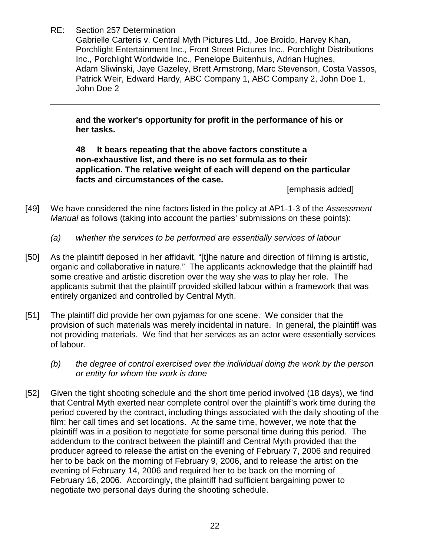Gabrielle Carteris v. Central Myth Pictures Ltd., Joe Broido, Harvey Khan, Porchlight Entertainment Inc., Front Street Pictures Inc., Porchlight Distributions Inc., Porchlight Worldwide Inc., Penelope Buitenhuis, Adrian Hughes, Adam Sliwinski, Jaye Gazeley, Brett Armstrong, Marc Stevenson, Costa Vassos, Patrick Weir, Edward Hardy, ABC Company 1, ABC Company 2, John Doe 1, John Doe 2

**and the worker's opportunity for profit in the performance of his or her tasks.** 

**48 It bears repeating that the above factors constitute a non-exhaustive list, and there is no set formula as to their application. The relative weight of each will depend on the particular facts and circumstances of the case.** 

[emphasis added]

- [49] We have considered the nine factors listed in the policy at AP1-1-3 of the *Assessment Manual* as follows (taking into account the parties' submissions on these points):
	- *(a) whether the services to be performed are essentially services of labour*
- [50] As the plaintiff deposed in her affidavit, "[t]he nature and direction of filming is artistic, organic and collaborative in nature." The applicants acknowledge that the plaintiff had some creative and artistic discretion over the way she was to play her role. The applicants submit that the plaintiff provided skilled labour within a framework that was entirely organized and controlled by Central Myth.
- [51] The plaintiff did provide her own pyjamas for one scene. We consider that the provision of such materials was merely incidental in nature. In general, the plaintiff was not providing materials. We find that her services as an actor were essentially services of labour.
	- *(b) the degree of control exercised over the individual doing the work by the person or entity for whom the work is done*
- [52] Given the tight shooting schedule and the short time period involved (18 days), we find that Central Myth exerted near complete control over the plaintiff's work time during the period covered by the contract, including things associated with the daily shooting of the film: her call times and set locations. At the same time, however, we note that the plaintiff was in a position to negotiate for some personal time during this period. The addendum to the contract between the plaintiff and Central Myth provided that the producer agreed to release the artist on the evening of February 7, 2006 and required her to be back on the morning of February 9, 2006, and to release the artist on the evening of February 14, 2006 and required her to be back on the morning of February 16, 2006. Accordingly, the plaintiff had sufficient bargaining power to negotiate two personal days during the shooting schedule.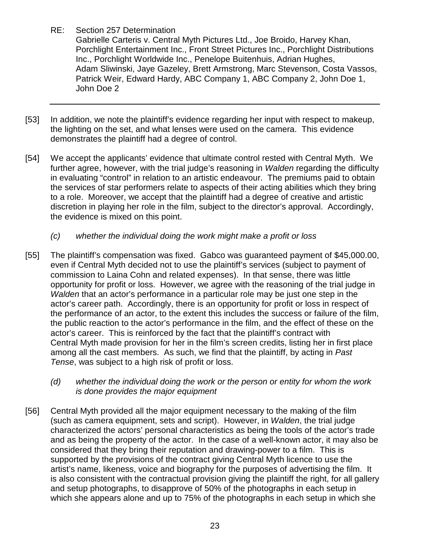Gabrielle Carteris v. Central Myth Pictures Ltd., Joe Broido, Harvey Khan, Porchlight Entertainment Inc., Front Street Pictures Inc., Porchlight Distributions Inc., Porchlight Worldwide Inc., Penelope Buitenhuis, Adrian Hughes, Adam Sliwinski, Jaye Gazeley, Brett Armstrong, Marc Stevenson, Costa Vassos, Patrick Weir, Edward Hardy, ABC Company 1, ABC Company 2, John Doe 1, John Doe 2

- [53] In addition, we note the plaintiff's evidence regarding her input with respect to makeup, the lighting on the set, and what lenses were used on the camera. This evidence demonstrates the plaintiff had a degree of control.
- [54] We accept the applicants' evidence that ultimate control rested with Central Myth. We further agree, however, with the trial judge's reasoning in *Walden* regarding the difficulty in evaluating "control" in relation to an artistic endeavour. The premiums paid to obtain the services of star performers relate to aspects of their acting abilities which they bring to a role. Moreover, we accept that the plaintiff had a degree of creative and artistic discretion in playing her role in the film, subject to the director's approval. Accordingly, the evidence is mixed on this point.
	- *(c) whether the individual doing the work might make a profit or loss*
- [55] The plaintiff's compensation was fixed. Gabco was guaranteed payment of \$45,000.00, even if Central Myth decided not to use the plaintiff's services (subject to payment of commission to Laina Cohn and related expenses). In that sense, there was little opportunity for profit or loss. However, we agree with the reasoning of the trial judge in *Walden* that an actor's performance in a particular role may be just one step in the actor's career path. Accordingly, there is an opportunity for profit or loss in respect of the performance of an actor, to the extent this includes the success or failure of the film, the public reaction to the actor's performance in the film, and the effect of these on the actor's career. This is reinforced by the fact that the plaintiff's contract with Central Myth made provision for her in the film's screen credits, listing her in first place among all the cast members. As such, we find that the plaintiff, by acting in *Past Tense*, was subject to a high risk of profit or loss.
	- *(d) whether the individual doing the work or the person or entity for whom the work is done provides the major equipment*
- [56] Central Myth provided all the major equipment necessary to the making of the film (such as camera equipment, sets and script). However, in *Walden*, the trial judge characterized the actors' personal characteristics as being the tools of the actor's trade and as being the property of the actor. In the case of a well-known actor, it may also be considered that they bring their reputation and drawing-power to a film. This is supported by the provisions of the contract giving Central Myth licence to use the artist's name, likeness, voice and biography for the purposes of advertising the film. It is also consistent with the contractual provision giving the plaintiff the right, for all gallery and setup photographs, to disapprove of 50% of the photographs in each setup in which she appears alone and up to 75% of the photographs in each setup in which she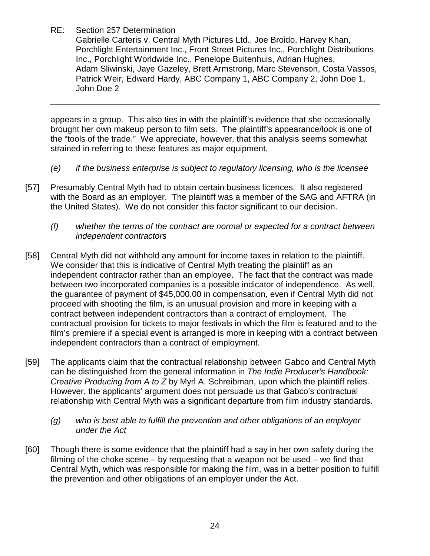Gabrielle Carteris v. Central Myth Pictures Ltd., Joe Broido, Harvey Khan, Porchlight Entertainment Inc., Front Street Pictures Inc., Porchlight Distributions Inc., Porchlight Worldwide Inc., Penelope Buitenhuis, Adrian Hughes, Adam Sliwinski, Jaye Gazeley, Brett Armstrong, Marc Stevenson, Costa Vassos, Patrick Weir, Edward Hardy, ABC Company 1, ABC Company 2, John Doe 1, John Doe 2

appears in a group. This also ties in with the plaintiff's evidence that she occasionally brought her own makeup person to film sets. The plaintiff's appearance/look is one of the "tools of the trade." We appreciate, however, that this analysis seems somewhat strained in referring to these features as major equipment.

- *(e) if the business enterprise is subject to regulatory licensing, who is the licensee*
- [57] Presumably Central Myth had to obtain certain business licences. It also registered with the Board as an employer. The plaintiff was a member of the SAG and AFTRA (in the United States). We do not consider this factor significant to our decision.
	- *(f) whether the terms of the contract are normal or expected for a contract between independent contractors*
- [58] Central Myth did not withhold any amount for income taxes in relation to the plaintiff. We consider that this is indicative of Central Myth treating the plaintiff as an independent contractor rather than an employee. The fact that the contract was made between two incorporated companies is a possible indicator of independence. As well, the guarantee of payment of \$45,000.00 in compensation, even if Central Myth did not proceed with shooting the film, is an unusual provision and more in keeping with a contract between independent contractors than a contract of employment. The contractual provision for tickets to major festivals in which the film is featured and to the film's premiere if a special event is arranged is more in keeping with a contract between independent contractors than a contract of employment.
- [59] The applicants claim that the contractual relationship between Gabco and Central Myth can be distinguished from the general information in *The Indie Producer's Handbook: Creative Producing from A to Z* by Myrl A. Schreibman, upon which the plaintiff relies. However, the applicants' argument does not persuade us that Gabco's contractual relationship with Central Myth was a significant departure from film industry standards.
	- *(g) who is best able to fulfill the prevention and other obligations of an employer under the Act*
- [60] Though there is some evidence that the plaintiff had a say in her own safety during the filming of the choke scene – by requesting that a weapon not be used – we find that Central Myth, which was responsible for making the film, was in a better position to fulfill the prevention and other obligations of an employer under the Act.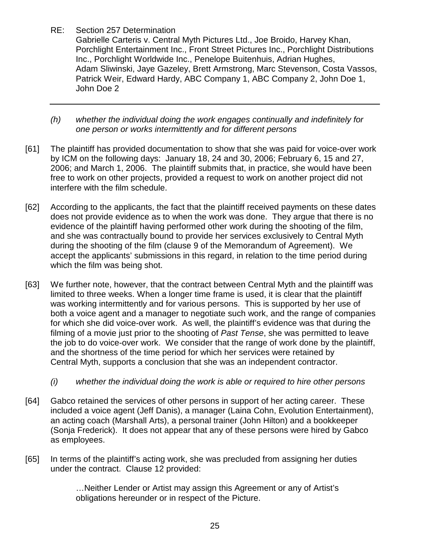Gabrielle Carteris v. Central Myth Pictures Ltd., Joe Broido, Harvey Khan, Porchlight Entertainment Inc., Front Street Pictures Inc., Porchlight Distributions Inc., Porchlight Worldwide Inc., Penelope Buitenhuis, Adrian Hughes, Adam Sliwinski, Jaye Gazeley, Brett Armstrong, Marc Stevenson, Costa Vassos, Patrick Weir, Edward Hardy, ABC Company 1, ABC Company 2, John Doe 1, John Doe 2

- *(h) whether the individual doing the work engages continually and indefinitely for one person or works intermittently and for different persons*
- [61] The plaintiff has provided documentation to show that she was paid for voice-over work by ICM on the following days: January 18, 24 and 30, 2006; February 6, 15 and 27, 2006; and March 1, 2006. The plaintiff submits that, in practice, she would have been free to work on other projects, provided a request to work on another project did not interfere with the film schedule.
- [62] According to the applicants, the fact that the plaintiff received payments on these dates does not provide evidence as to when the work was done. They argue that there is no evidence of the plaintiff having performed other work during the shooting of the film, and she was contractually bound to provide her services exclusively to Central Myth during the shooting of the film (clause 9 of the Memorandum of Agreement). We accept the applicants' submissions in this regard, in relation to the time period during which the film was being shot.
- [63] We further note, however, that the contract between Central Myth and the plaintiff was limited to three weeks. When a longer time frame is used, it is clear that the plaintiff was working intermittently and for various persons. This is supported by her use of both a voice agent and a manager to negotiate such work, and the range of companies for which she did voice-over work. As well, the plaintiff's evidence was that during the filming of a movie just prior to the shooting of *Past Tense*, she was permitted to leave the job to do voice-over work. We consider that the range of work done by the plaintiff, and the shortness of the time period for which her services were retained by Central Myth, supports a conclusion that she was an independent contractor.
	- *(i) whether the individual doing the work is able or required to hire other persons*
- [64] Gabco retained the services of other persons in support of her acting career. These included a voice agent (Jeff Danis), a manager (Laina Cohn, Evolution Entertainment), an acting coach (Marshall Arts), a personal trainer (John Hilton) and a bookkeeper (Sonja Frederick). It does not appear that any of these persons were hired by Gabco as employees.
- [65] In terms of the plaintiff's acting work, she was precluded from assigning her duties under the contract. Clause 12 provided:

…Neither Lender or Artist may assign this Agreement or any of Artist's obligations hereunder or in respect of the Picture.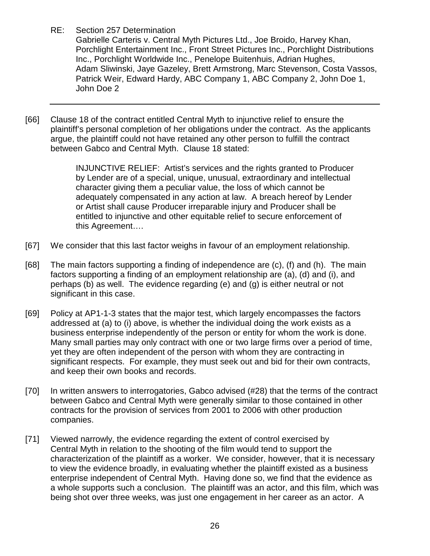Gabrielle Carteris v. Central Myth Pictures Ltd., Joe Broido, Harvey Khan, Porchlight Entertainment Inc., Front Street Pictures Inc., Porchlight Distributions Inc., Porchlight Worldwide Inc., Penelope Buitenhuis, Adrian Hughes, Adam Sliwinski, Jaye Gazeley, Brett Armstrong, Marc Stevenson, Costa Vassos, Patrick Weir, Edward Hardy, ABC Company 1, ABC Company 2, John Doe 1, John Doe 2

[66] Clause 18 of the contract entitled Central Myth to injunctive relief to ensure the plaintiff's personal completion of her obligations under the contract. As the applicants argue, the plaintiff could not have retained any other person to fulfill the contract between Gabco and Central Myth. Clause 18 stated:

> INJUNCTIVE RELIEF: Artist's services and the rights granted to Producer by Lender are of a special, unique, unusual, extraordinary and intellectual character giving them a peculiar value, the loss of which cannot be adequately compensated in any action at law. A breach hereof by Lender or Artist shall cause Producer irreparable injury and Producer shall be entitled to injunctive and other equitable relief to secure enforcement of this Agreement….

- [67] We consider that this last factor weighs in favour of an employment relationship.
- [68] The main factors supporting a finding of independence are (c), (f) and (h). The main factors supporting a finding of an employment relationship are (a), (d) and (i), and perhaps (b) as well. The evidence regarding (e) and (g) is either neutral or not significant in this case.
- [69] Policy at AP1-1-3 states that the major test, which largely encompasses the factors addressed at (a) to (i) above, is whether the individual doing the work exists as a business enterprise independently of the person or entity for whom the work is done. Many small parties may only contract with one or two large firms over a period of time, yet they are often independent of the person with whom they are contracting in significant respects. For example, they must seek out and bid for their own contracts, and keep their own books and records.
- [70] In written answers to interrogatories, Gabco advised (#28) that the terms of the contract between Gabco and Central Myth were generally similar to those contained in other contracts for the provision of services from 2001 to 2006 with other production companies.
- [71] Viewed narrowly, the evidence regarding the extent of control exercised by Central Myth in relation to the shooting of the film would tend to support the characterization of the plaintiff as a worker. We consider, however, that it is necessary to view the evidence broadly, in evaluating whether the plaintiff existed as a business enterprise independent of Central Myth. Having done so, we find that the evidence as a whole supports such a conclusion. The plaintiff was an actor, and this film, which was being shot over three weeks, was just one engagement in her career as an actor. A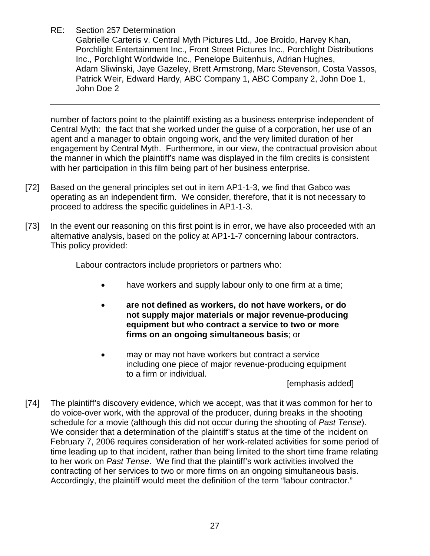Gabrielle Carteris v. Central Myth Pictures Ltd., Joe Broido, Harvey Khan, Porchlight Entertainment Inc., Front Street Pictures Inc., Porchlight Distributions Inc., Porchlight Worldwide Inc., Penelope Buitenhuis, Adrian Hughes, Adam Sliwinski, Jaye Gazeley, Brett Armstrong, Marc Stevenson, Costa Vassos, Patrick Weir, Edward Hardy, ABC Company 1, ABC Company 2, John Doe 1, John Doe 2

number of factors point to the plaintiff existing as a business enterprise independent of Central Myth: the fact that she worked under the guise of a corporation, her use of an agent and a manager to obtain ongoing work, and the very limited duration of her engagement by Central Myth. Furthermore, in our view, the contractual provision about the manner in which the plaintiff's name was displayed in the film credits is consistent with her participation in this film being part of her business enterprise.

- [72] Based on the general principles set out in item AP1-1-3, we find that Gabco was operating as an independent firm. We consider, therefore, that it is not necessary to proceed to address the specific guidelines in AP1-1-3.
- [73] In the event our reasoning on this first point is in error, we have also proceeded with an alternative analysis, based on the policy at AP1-1-7 concerning labour contractors. This policy provided:

Labour contractors include proprietors or partners who:

- have workers and supply labour only to one firm at a time;
- **are not defined as workers, do not have workers, or do not supply major materials or major revenue-producing equipment but who contract a service to two or more firms on an ongoing simultaneous basis**; or
- may or may not have workers but contract a service including one piece of major revenue-producing equipment to a firm or individual.

[emphasis added]

[74] The plaintiff's discovery evidence, which we accept, was that it was common for her to do voice-over work, with the approval of the producer, during breaks in the shooting schedule for a movie (although this did not occur during the shooting of *Past Tense*). We consider that a determination of the plaintiff's status at the time of the incident on February 7, 2006 requires consideration of her work-related activities for some period of time leading up to that incident, rather than being limited to the short time frame relating to her work on *Past Tense*. We find that the plaintiff's work activities involved the contracting of her services to two or more firms on an ongoing simultaneous basis. Accordingly, the plaintiff would meet the definition of the term "labour contractor."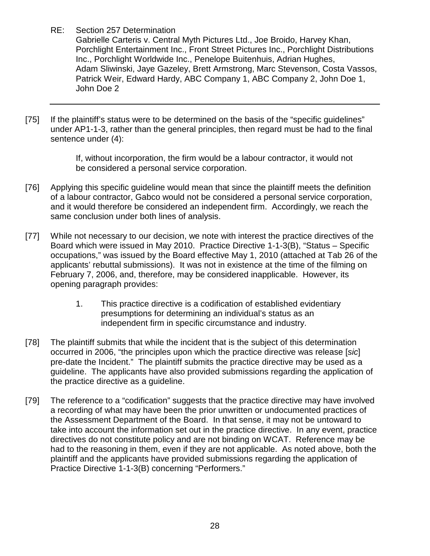Gabrielle Carteris v. Central Myth Pictures Ltd., Joe Broido, Harvey Khan, Porchlight Entertainment Inc., Front Street Pictures Inc., Porchlight Distributions Inc., Porchlight Worldwide Inc., Penelope Buitenhuis, Adrian Hughes, Adam Sliwinski, Jaye Gazeley, Brett Armstrong, Marc Stevenson, Costa Vassos, Patrick Weir, Edward Hardy, ABC Company 1, ABC Company 2, John Doe 1, John Doe 2

[75] If the plaintiff's status were to be determined on the basis of the "specific guidelines" under AP1-1-3, rather than the general principles, then regard must be had to the final sentence under (4):

> If, without incorporation, the firm would be a labour contractor, it would not be considered a personal service corporation.

- [76] Applying this specific guideline would mean that since the plaintiff meets the definition of a labour contractor, Gabco would not be considered a personal service corporation, and it would therefore be considered an independent firm. Accordingly, we reach the same conclusion under both lines of analysis.
- [77] While not necessary to our decision, we note with interest the practice directives of the Board which were issued in May 2010. Practice Directive 1-1-3(B), "Status – Specific occupations," was issued by the Board effective May 1, 2010 (attached at Tab 26 of the applicants' rebuttal submissions). It was not in existence at the time of the filming on February 7, 2006, and, therefore, may be considered inapplicable. However, its opening paragraph provides:
	- 1. This practice directive is a codification of established evidentiary presumptions for determining an individual's status as an independent firm in specific circumstance and industry.
- [78] The plaintiff submits that while the incident that is the subject of this determination occurred in 2006, "the principles upon which the practice directive was release [*sic*] pre-date the Incident." The plaintiff submits the practice directive may be used as a guideline. The applicants have also provided submissions regarding the application of the practice directive as a guideline.
- [79] The reference to a "codification" suggests that the practice directive may have involved a recording of what may have been the prior unwritten or undocumented practices of the Assessment Department of the Board. In that sense, it may not be untoward to take into account the information set out in the practice directive. In any event, practice directives do not constitute policy and are not binding on WCAT. Reference may be had to the reasoning in them, even if they are not applicable. As noted above, both the plaintiff and the applicants have provided submissions regarding the application of Practice Directive 1-1-3(B) concerning "Performers."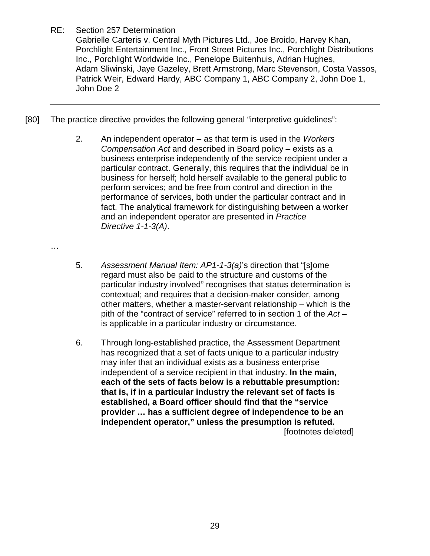…

Gabrielle Carteris v. Central Myth Pictures Ltd., Joe Broido, Harvey Khan, Porchlight Entertainment Inc., Front Street Pictures Inc., Porchlight Distributions Inc., Porchlight Worldwide Inc., Penelope Buitenhuis, Adrian Hughes, Adam Sliwinski, Jaye Gazeley, Brett Armstrong, Marc Stevenson, Costa Vassos, Patrick Weir, Edward Hardy, ABC Company 1, ABC Company 2, John Doe 1, John Doe 2

- [80] The practice directive provides the following general "interpretive guidelines":
	- 2. An independent operator as that term is used in the *Workers Compensation Act* and described in Board policy – exists as a business enterprise independently of the service recipient under a particular contract. Generally, this requires that the individual be in business for herself; hold herself available to the general public to perform services; and be free from control and direction in the performance of services, both under the particular contract and in fact. The analytical framework for distinguishing between a worker and an independent operator are presented in *Practice Directive 1-1-3(A)*.
	- 5. *Assessment Manual Item: AP1-1-3(a)*'s direction that "[s]ome regard must also be paid to the structure and customs of the particular industry involved" recognises that status determination is contextual; and requires that a decision-maker consider, among other matters, whether a master-servant relationship – which is the pith of the "contract of service" referred to in section 1 of the *Act* – is applicable in a particular industry or circumstance.
	- 6. Through long-established practice, the Assessment Department has recognized that a set of facts unique to a particular industry may infer that an individual exists as a business enterprise independent of a service recipient in that industry. **In the main, each of the sets of facts below is a rebuttable presumption: that is, if in a particular industry the relevant set of facts is established, a Board officer should find that the "service provider … has a sufficient degree of independence to be an independent operator," unless the presumption is refuted.** [footnotes deleted]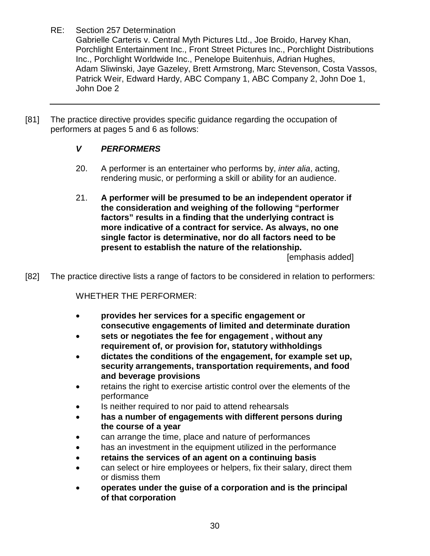Gabrielle Carteris v. Central Myth Pictures Ltd., Joe Broido, Harvey Khan, Porchlight Entertainment Inc., Front Street Pictures Inc., Porchlight Distributions Inc., Porchlight Worldwide Inc., Penelope Buitenhuis, Adrian Hughes, Adam Sliwinski, Jaye Gazeley, Brett Armstrong, Marc Stevenson, Costa Vassos, Patrick Weir, Edward Hardy, ABC Company 1, ABC Company 2, John Doe 1, John Doe 2

[81] The practice directive provides specific guidance regarding the occupation of performers at pages 5 and 6 as follows:

# *V PERFORMERS*

- 20. A performer is an entertainer who performs by, *inter alia*, acting, rendering music, or performing a skill or ability for an audience.
- 21. **A performer will be presumed to be an independent operator if the consideration and weighing of the following "performer factors" results in a finding that the underlying contract is more indicative of a contract for service. As always, no one single factor is determinative, nor do all factors need to be present to establish the nature of the relationship.**

[emphasis added]

[82] The practice directive lists a range of factors to be considered in relation to performers:

WHETHER THE PERFORMER:

- **provides her services for a specific engagement or consecutive engagements of limited and determinate duration**
- **sets or negotiates the fee for engagement , without any requirement of, or provision for, statutory withholdings**
- **dictates the conditions of the engagement, for example set up, security arrangements, transportation requirements, and food and beverage provisions**
- retains the right to exercise artistic control over the elements of the performance
- Is neither required to nor paid to attend rehearsals
- **has a number of engagements with different persons during the course of a year**
- can arrange the time, place and nature of performances
- has an investment in the equipment utilized in the performance
- **retains the services of an agent on a continuing basis**
- can select or hire employees or helpers, fix their salary, direct them or dismiss them
- **operates under the guise of a corporation and is the principal of that corporation**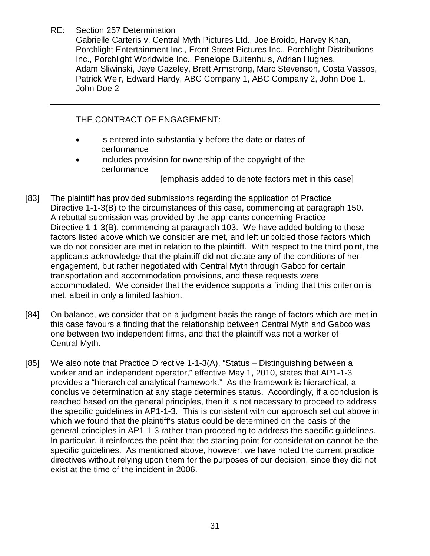Gabrielle Carteris v. Central Myth Pictures Ltd., Joe Broido, Harvey Khan, Porchlight Entertainment Inc., Front Street Pictures Inc., Porchlight Distributions Inc., Porchlight Worldwide Inc., Penelope Buitenhuis, Adrian Hughes, Adam Sliwinski, Jaye Gazeley, Brett Armstrong, Marc Stevenson, Costa Vassos, Patrick Weir, Edward Hardy, ABC Company 1, ABC Company 2, John Doe 1, John Doe 2

THE CONTRACT OF ENGAGEMENT:

- is entered into substantially before the date or dates of performance
- includes provision for ownership of the copyright of the performance

[emphasis added to denote factors met in this case]

- [83] The plaintiff has provided submissions regarding the application of Practice Directive 1-1-3(B) to the circumstances of this case, commencing at paragraph 150. A rebuttal submission was provided by the applicants concerning Practice Directive 1-1-3(B), commencing at paragraph 103. We have added bolding to those factors listed above which we consider are met, and left unbolded those factors which we do not consider are met in relation to the plaintiff. With respect to the third point, the applicants acknowledge that the plaintiff did not dictate any of the conditions of her engagement, but rather negotiated with Central Myth through Gabco for certain transportation and accommodation provisions, and these requests were accommodated. We consider that the evidence supports a finding that this criterion is met, albeit in only a limited fashion.
- [84] On balance, we consider that on a judgment basis the range of factors which are met in this case favours a finding that the relationship between Central Myth and Gabco was one between two independent firms, and that the plaintiff was not a worker of Central Myth.
- [85] We also note that Practice Directive 1-1-3(A), "Status Distinguishing between a worker and an independent operator," effective May 1, 2010, states that AP1-1-3 provides a "hierarchical analytical framework." As the framework is hierarchical, a conclusive determination at any stage determines status. Accordingly, if a conclusion is reached based on the general principles, then it is not necessary to proceed to address the specific guidelines in AP1-1-3. This is consistent with our approach set out above in which we found that the plaintiff's status could be determined on the basis of the general principles in AP1-1-3 rather than proceeding to address the specific guidelines. In particular, it reinforces the point that the starting point for consideration cannot be the specific guidelines. As mentioned above, however, we have noted the current practice directives without relying upon them for the purposes of our decision, since they did not exist at the time of the incident in 2006.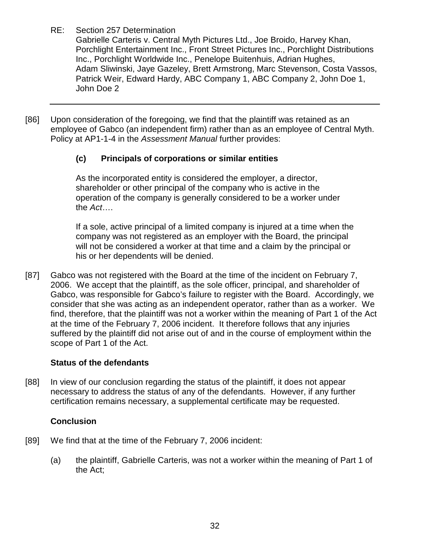Gabrielle Carteris v. Central Myth Pictures Ltd., Joe Broido, Harvey Khan, Porchlight Entertainment Inc., Front Street Pictures Inc., Porchlight Distributions Inc., Porchlight Worldwide Inc., Penelope Buitenhuis, Adrian Hughes, Adam Sliwinski, Jaye Gazeley, Brett Armstrong, Marc Stevenson, Costa Vassos, Patrick Weir, Edward Hardy, ABC Company 1, ABC Company 2, John Doe 1, John Doe 2

[86] Upon consideration of the foregoing, we find that the plaintiff was retained as an employee of Gabco (an independent firm) rather than as an employee of Central Myth. Policy at AP1-1-4 in the *Assessment Manual* further provides:

# **(c) Principals of corporations or similar entities**

As the incorporated entity is considered the employer, a director, shareholder or other principal of the company who is active in the operation of the company is generally considered to be a worker under the *Act*….

If a sole, active principal of a limited company is injured at a time when the company was not registered as an employer with the Board, the principal will not be considered a worker at that time and a claim by the principal or his or her dependents will be denied.

[87] Gabco was not registered with the Board at the time of the incident on February 7, 2006. We accept that the plaintiff, as the sole officer, principal, and shareholder of Gabco, was responsible for Gabco's failure to register with the Board. Accordingly, we consider that she was acting as an independent operator, rather than as a worker. We find, therefore, that the plaintiff was not a worker within the meaning of Part 1 of the Act at the time of the February 7, 2006 incident. It therefore follows that any injuries suffered by the plaintiff did not arise out of and in the course of employment within the scope of Part 1 of the Act.

# **Status of the defendants**

[88] In view of our conclusion regarding the status of the plaintiff, it does not appear necessary to address the status of any of the defendants. However, if any further certification remains necessary, a supplemental certificate may be requested.

# **Conclusion**

- [89] We find that at the time of the February 7, 2006 incident:
	- (a) the plaintiff, Gabrielle Carteris, was not a worker within the meaning of Part 1 of the Act;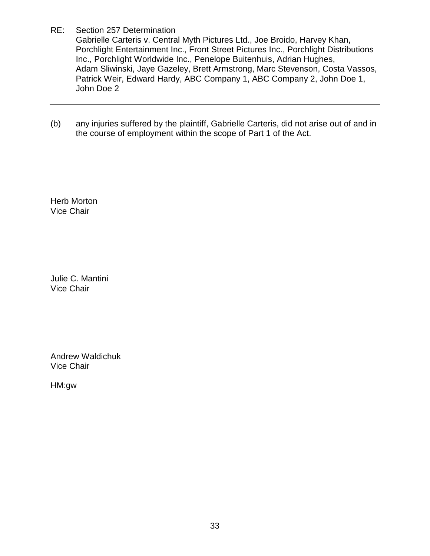Gabrielle Carteris v. Central Myth Pictures Ltd., Joe Broido, Harvey Khan, Porchlight Entertainment Inc., Front Street Pictures Inc., Porchlight Distributions Inc., Porchlight Worldwide Inc., Penelope Buitenhuis, Adrian Hughes, Adam Sliwinski, Jaye Gazeley, Brett Armstrong, Marc Stevenson, Costa Vassos, Patrick Weir, Edward Hardy, ABC Company 1, ABC Company 2, John Doe 1, John Doe 2

(b) any injuries suffered by the plaintiff, Gabrielle Carteris, did not arise out of and in the course of employment within the scope of Part 1 of the Act.

Herb Morton Vice Chair

Julie C. Mantini Vice Chair

Andrew Waldichuk Vice Chair

HM:gw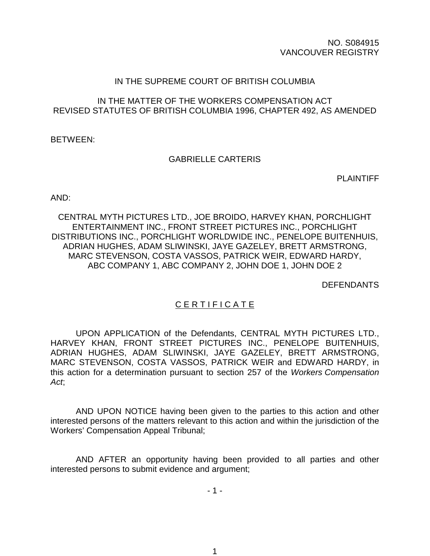NO. S084915 VANCOUVER REGISTRY

#### IN THE SUPREME COURT OF BRITISH COLUMBIA

#### IN THE MATTER OF THE WORKERS COMPENSATION ACT REVISED STATUTES OF BRITISH COLUMBIA 1996, CHAPTER 492, AS AMENDED

BETWEEN:

### GABRIELLE CARTERIS

PLAINTIFF

AND:

CENTRAL MYTH PICTURES LTD., JOE BROIDO, HARVEY KHAN, PORCHLIGHT ENTERTAINMENT INC., FRONT STREET PICTURES INC., PORCHLIGHT DISTRIBUTIONS INC., PORCHLIGHT WORLDWIDE INC., PENELOPE BUITENHUIS, ADRIAN HUGHES, ADAM SLIWINSKI, JAYE GAZELEY, BRETT ARMSTRONG, MARC STEVENSON, COSTA VASSOS, PATRICK WEIR, EDWARD HARDY, ABC COMPANY 1, ABC COMPANY 2, JOHN DOE 1, JOHN DOE 2

DEFENDANTS

### C E R T I F I C A T E

UPON APPLICATION of the Defendants, CENTRAL MYTH PICTURES LTD., HARVEY KHAN, FRONT STREET PICTURES INC., PENELOPE BUITENHUIS, ADRIAN HUGHES, ADAM SLIWINSKI, JAYE GAZELEY, BRETT ARMSTRONG, MARC STEVENSON, COSTA VASSOS, PATRICK WEIR and EDWARD HARDY, in this action for a determination pursuant to section 257 of the *Workers Compensation Act*;

AND UPON NOTICE having been given to the parties to this action and other interested persons of the matters relevant to this action and within the jurisdiction of the Workers' Compensation Appeal Tribunal;

AND AFTER an opportunity having been provided to all parties and other interested persons to submit evidence and argument;

- 1 -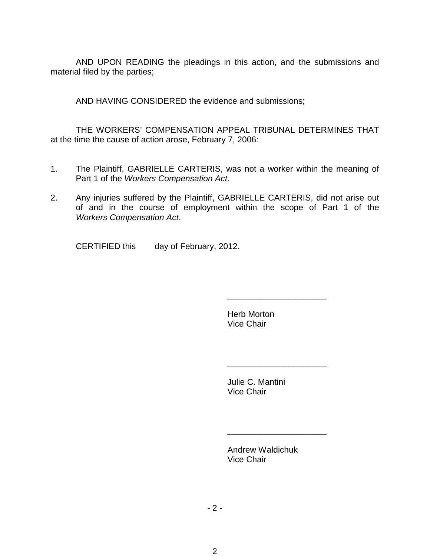AND UPON READING the pleadings in this action, and the submissions and material filed by the parties;

AND HAVING CONSIDERED the evidence and submissions;

THE WORKERS' COMPENSATION APPEAL TRIBUNAL DETERMINES THAT at the time the cause of action arose, February 7, 2006:

- 1. The Plaintiff, GABRIELLE CARTERIS, was not a worker within the meaning of Part 1 of the *Workers Compensation Act*.
- 2. Any injuries suffered by the Plaintiff, GABRIELLE CARTERIS, did not arise out of and in the course of employment within the scope of Part 1 of the *Workers Compensation Act*.

CERTIFIED this day of February, 2012.

Herb Morton Vice Chair

\_\_\_\_\_\_\_\_\_\_\_\_\_\_\_\_\_\_\_\_\_

\_\_\_\_\_\_\_\_\_\_\_\_\_\_\_\_\_\_\_\_\_

\_\_\_\_\_\_\_\_\_\_\_\_\_\_\_\_\_\_\_\_\_

Julie C. Mantini Vice Chair

Andrew Waldichuk Vice Chair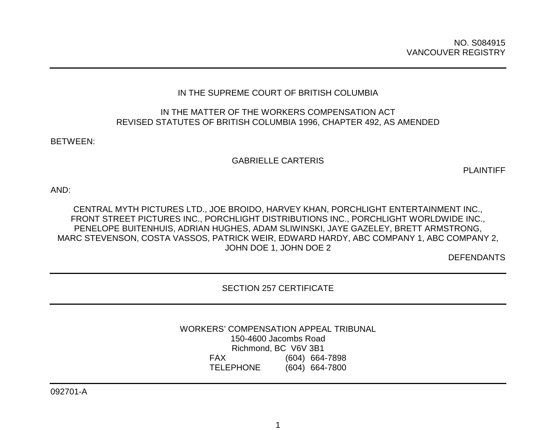### IN THE SUPREME COURT OF BRITISH COLUMBIA

#### IN THE MATTER OF THE WORKERS COMPENSATION ACT REVISED STATUTES OF BRITISH COLUMBIA 1996, CHAPTER 492, AS AMENDED

BETWEEN:

#### GABRIELLE CARTERIS

PLAINTIFF

AND:

CENTRAL MYTH PICTURES LTD., JOE BROIDO, HARVEY KHAN, PORCHLIGHT ENTERTAINMENT INC., FRONT STREET PICTURES INC., PORCHLIGHT DISTRIBUTIONS INC., PORCHLIGHT WORLDWIDE INC., PENELOPE BUITENHUIS, ADRIAN HUGHES, ADAM SLIWINSKI, JAYE GAZELEY, BRETT ARMSTRONG, MARC STEVENSON, COSTA VASSOS, PATRICK WEIR, EDWARD HARDY, ABC COMPANY 1, ABC COMPANY 2, JOHN DOE 1, JOHN DOE 2

DEFENDANTS

SECTION 257 CERTIFICATE

WORKERS' COMPENSATION APPEAL TRIBUNAL 150-4600 Jacombs Road Richmond, BC V6V 3B1 FAX (604) 664-7898 TELEPHONE (604) 664-7800

092701-A